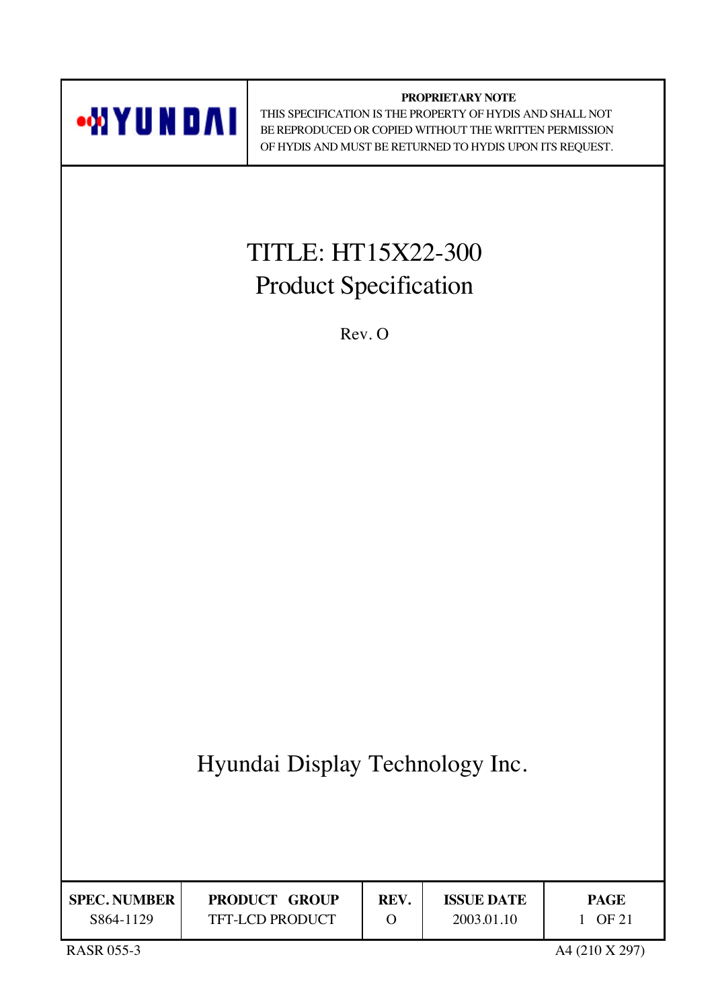

TFT-LCD PRODUCT

**REV.** O

 THIS SPECIFICATION IS THE PROPERTY OF HYDIS AND SHALL NOT BE REPRODUCED OR COPIED WITHOUT THE WRITTEN PERMISSION OF HYDIS AND MUST BE RETURNED TO HYDIS UPON ITS REQUEST.

**SPEC. NUMBER** S864-1129

**PAGE** 1 OF 21

**ISSUE DATE** 2003.01.10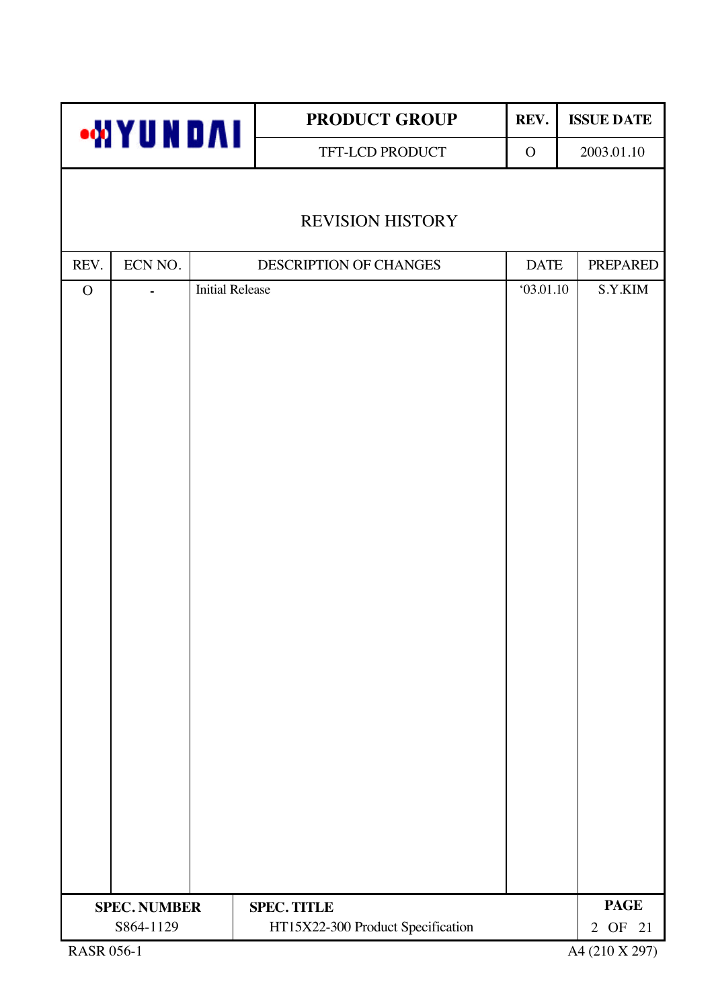|              | <b>WYUNDAI</b>      |                        | PRODUCT GROUP   |                                   | REV.         |             | <b>ISSUE DATE</b> |  |
|--------------|---------------------|------------------------|-----------------|-----------------------------------|--------------|-------------|-------------------|--|
|              |                     |                        | TFT-LCD PRODUCT |                                   | $\mathbf{O}$ |             | 2003.01.10        |  |
|              |                     |                        |                 |                                   |              |             |                   |  |
|              |                     |                        |                 | <b>REVISION HISTORY</b>           |              |             |                   |  |
| REV.         | ECN NO.             |                        |                 | DESCRIPTION OF CHANGES            |              | <b>DATE</b> | <b>PREPARED</b>   |  |
| $\mathbf{O}$ | ÷.                  | <b>Initial Release</b> |                 |                                   |              | 03.01.10    | S.Y.KIM           |  |
|              |                     |                        |                 |                                   |              |             |                   |  |
|              |                     |                        |                 |                                   |              |             |                   |  |
|              | <b>SPEC. NUMBER</b> |                        |                 | <b>SPEC. TITLE</b>                |              |             | <b>PAGE</b>       |  |
|              | S864-1129           |                        |                 | HT15X22-300 Product Specification |              |             | 2 OF 21           |  |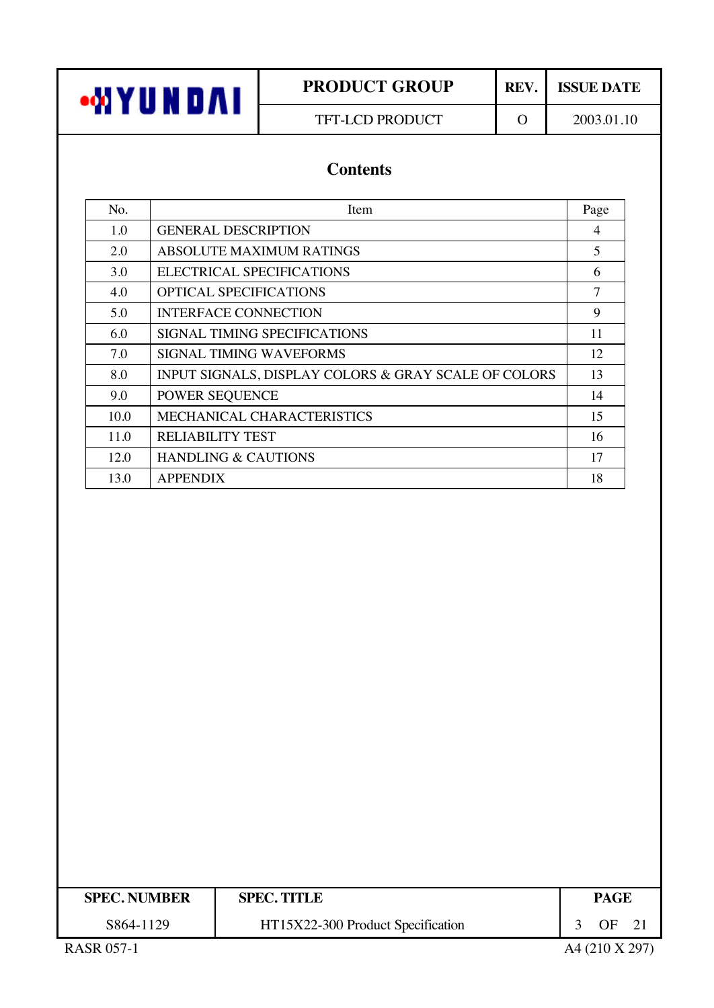TFT-LCD PRODUCT 0 2003.01.10

# **Contents**

| No.  | Item                                                 | Page |
|------|------------------------------------------------------|------|
| 1.0  | <b>GENERAL DESCRIPTION</b>                           | 4    |
| 2.0  | <b>ABSOLUTE MAXIMUM RATINGS</b>                      | 5    |
| 3.0  | ELECTRICAL SPECIFICATIONS                            | 6    |
| 4.0  | <b>OPTICAL SPECIFICATIONS</b>                        | 7    |
| 5.0  | <b>INTERFACE CONNECTION</b>                          | 9    |
| 6.0  | SIGNAL TIMING SPECIFICATIONS                         | 11   |
| 7.0  | <b>SIGNAL TIMING WAVEFORMS</b>                       | 12   |
| 8.0  | INPUT SIGNALS, DISPLAY COLORS & GRAY SCALE OF COLORS | 13   |
| 9.0  | POWER SEQUENCE                                       | 14   |
| 10.0 | MECHANICAL CHARACTERISTICS                           | 15   |
| 11.0 | <b>RELIABILITY TEST</b>                              | 16   |
| 12.0 | <b>HANDLING &amp; CAUTIONS</b>                       | 17   |
| 13.0 | <b>APPENDIX</b>                                      | 18   |

| <b>SPEC. NUMBER</b> | <b>SPEC. TITLE</b>                | PAGE             |
|---------------------|-----------------------------------|------------------|
| S864-1129           | HT15X22-300 Product Specification | OF <sub>21</sub> |
| <b>RASR 057-1</b>   |                                   | A4 (210 X 297)   |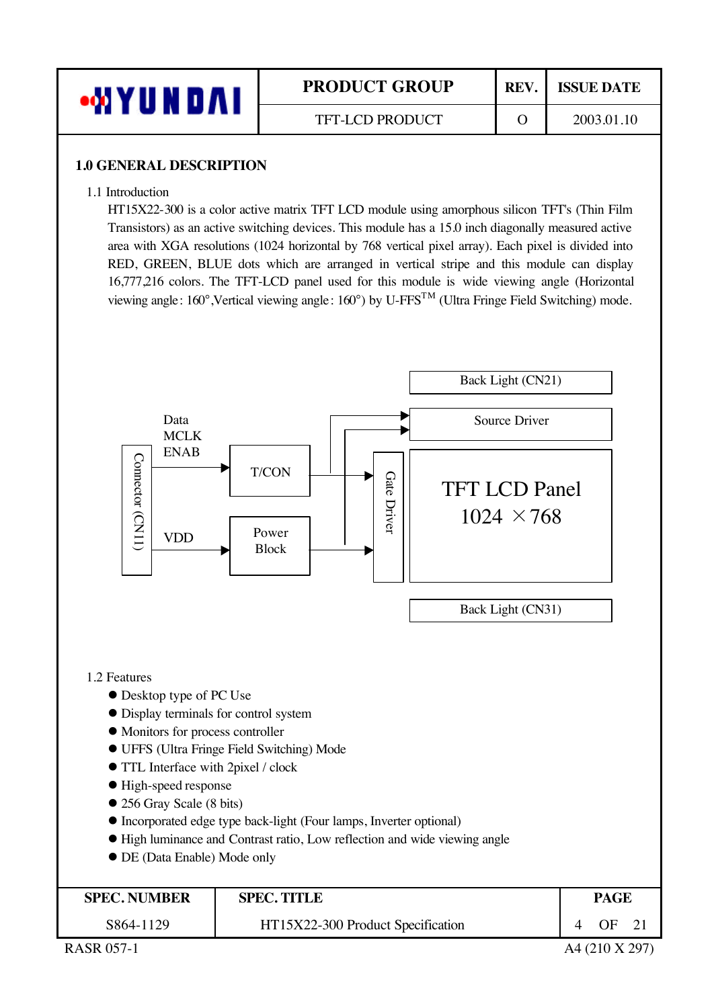

### **1.0 GENERAL DESCRIPTION**

1.1 Introduction

HT15X22-300 is a color active matrix TFT LCD module using amorphous silicon TFT's (Thin Film Transistors) as an active switching devices. This module has a 15.0 inch diagonally measured active area with XGA resolutions (1024 horizontal by 768 vertical pixel array). Each pixel is divided into RED, GREEN, BLUE dots which are arranged in vertical stripe and this module can display 16,777,216 colors. The TFT-LCD panel used for this module is wide viewing angle (Horizontal viewing angle: 160°,Vertical viewing angle: 160°) by U-FFSTM (Ultra Fringe Field Switching) mode.

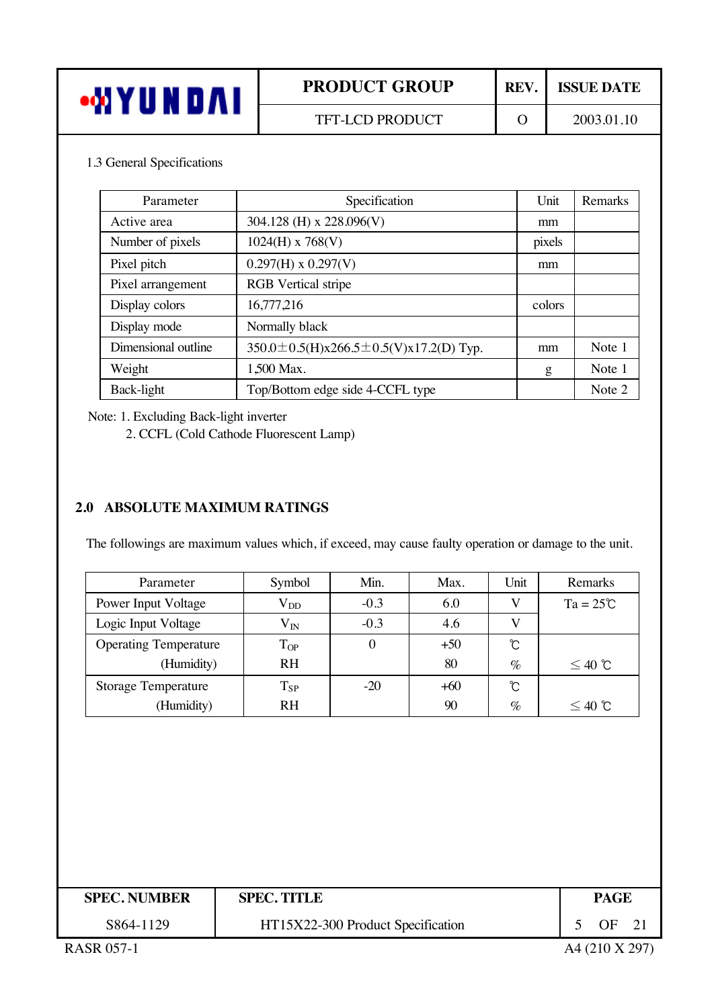| •WYUNDAI                                                                    |  | <b>PRODUCT GROUP</b>     | REV.     |    | <b>ISSUE DATE</b> |  |
|-----------------------------------------------------------------------------|--|--------------------------|----------|----|-------------------|--|
|                                                                             |  | TFT-LCD PRODUCT          | $\Omega$ |    | 2003.01.10        |  |
| 1.3 General Specifications<br>Specification<br>Unit<br>Parameter<br>Remarks |  |                          |          |    |                   |  |
| Active area                                                                 |  | 304.128 (H) x 228.096(V) |          | mm |                   |  |
| Number of pixels                                                            |  | $1024(H)$ x 768(V)       | pixels   |    |                   |  |
|                                                                             |  |                          |          |    |                   |  |
| Pixel pitch                                                                 |  | $0.297(H)$ x $0.297(V)$  |          | mm |                   |  |

| Parameter           | Specification                              | Unit   | Remarks |
|---------------------|--------------------------------------------|--------|---------|
| Active area         | 304.128 (H) x 228.096(V)                   | mm     |         |
| Number of pixels    | $1024(H)$ x 768(V)                         | pixels |         |
| Pixel pitch         | $0.297(H)$ x $0.297(V)$                    | mm     |         |
| Pixel arrangement   | <b>RGB</b> Vertical stripe                 |        |         |
| Display colors      | 16,777,216                                 | colors |         |
| Display mode        | Normally black                             |        |         |
| Dimensional outline | 350.0 ± 0.5(H)x266.5 ± 0.5(V)x17.2(D) Typ. | mm     | Note 1  |
| Weight              | 1,500 Max.                                 | g      | Note 1  |
| Back-light          | Top/Bottom edge side 4-CCFL type           |        | Note 2  |

Note: 1. Excluding Back-light inverter

2. CCFL (Cold Cathode Fluorescent Lamp)

# **2.0 ABSOLUTE MAXIMUM RATINGS**

The followings are maximum values which, if exceed, may cause faulty operation or damage to the unit.

| Parameter                    | Symbol    | Min.             | Max.  | Unit     | Remarks            |
|------------------------------|-----------|------------------|-------|----------|--------------------|
| Power Input Voltage          | $V_{DD}$  | $-0.3$           | 6.0   |          | $Ta = 25^{\circ}C$ |
| Logic Input Voltage          | $V_{IN}$  | $-0.3$           | 4.6   |          |                    |
| <b>Operating Temperature</b> | $T_{OP}$  | $\boldsymbol{0}$ | $+50$ | ℃        |                    |
| (Humidity)                   | <b>RH</b> |                  | 80    | $\%$     | $\leq 40$ ℃        |
| <b>Storage Temperature</b>   | $T_{SP}$  | $-20$            | $+60$ | $\infty$ |                    |
| (Humidity)                   | <b>RH</b> |                  | 90    | $\%$     | $\leq 40$ ℃        |

| <b>SPEC. NUMBER</b> | <b>SPEC. TITLE</b>                | <b>PAGE</b> |  |
|---------------------|-----------------------------------|-------------|--|
| S864-1129           | HT15X22-300 Product Specification | ΩE          |  |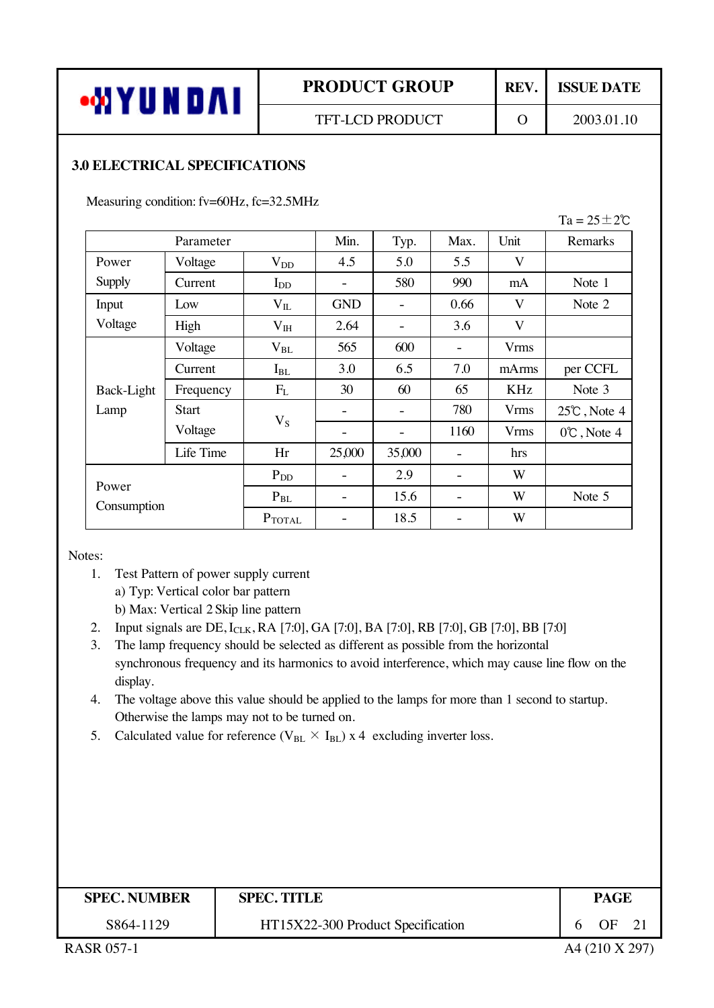## **3.0 ELECTRICAL SPECIFICATIONS**

Measuring condition: fv=60Hz, fc=32.5MHz

|             |              |                 |            |        |      |                         | $Ta = 25 \pm 2\degree$ |
|-------------|--------------|-----------------|------------|--------|------|-------------------------|------------------------|
|             | Parameter    |                 | Min.       | Typ.   | Max. | Unit                    | Remarks                |
| Power       | Voltage      | $V_{DD}$        | 4.5        | 5.0    | 5.5  | V                       |                        |
| Supply      | Current      | $I_{DD}$        |            | 580    | 990  | mA                      | Note 1                 |
| Input       | Low          | $V_{IL}$        | <b>GND</b> |        | 0.66 | V                       | Note 2                 |
| Voltage     | High         | $V_{IH}$        | 2.64       |        | 3.6  | $\overline{\mathsf{V}}$ |                        |
|             | Voltage      | $V_{BL}$        | 565        | 600    |      | <b>Vrms</b>             |                        |
|             | Current      | $I_{BL}$        | 3.0        | 6.5    | 7.0  | mArms                   | per CCFL               |
| Back-Light  | Frequency    | $F_{L}$         | 30         | 60     | 65   | KHz                     | Note 3                 |
| Lamp        | <b>Start</b> |                 |            |        | 780  | <b>Vrms</b>             | $25^{\circ}$ , Note 4  |
|             | Voltage      | $V_S$           | -          | -      | 1160 | <b>Vrms</b>             | $0^{\circ}$ , Note 4   |
|             | Life Time    | Hr              | 25,000     | 35,000 |      | hrs                     |                        |
|             |              | $P_{DD}$        |            | 2.9    |      | W                       |                        |
| Power       |              | $P_{BL}$        | -          | 15.6   |      | W                       | Note 5                 |
| Consumption |              | $P_{\rm TOTAL}$ |            | 18.5   |      | W                       |                        |

Notes:

1. Test Pattern of power supply current

a) Typ: Vertical color bar pattern

b) Max: Vertical 2 Skip line pattern

- 2. Input signals are DE, I<sub>CLK</sub>, RA [7:0], GA [7:0], BA [7:0], RB [7:0], GB [7:0], BB [7:0]
- 3. The lamp frequency should be selected as different as possible from the horizontal synchronous frequency and its harmonics to avoid interference, which may cause line flow on the display.
- 4. The voltage above this value should be applied to the lamps for more than 1 second to startup. Otherwise the lamps may not to be turned on.
- 5. Calculated value for reference ( $V_{BL} \times I_{BL}$ ) x 4 excluding inverter loss.

| <b>SPEC. NUMBER</b> | <b>SPEC. TITLE</b>                | <b>PAGE</b>     |             |
|---------------------|-----------------------------------|-----------------|-------------|
| S864-1129           | HT15X22-300 Product Specification | $\overline{OF}$ | $\sqrt{21}$ |
| <b>RASR 057-1</b>   |                                   | A4 (210 X 297)  |             |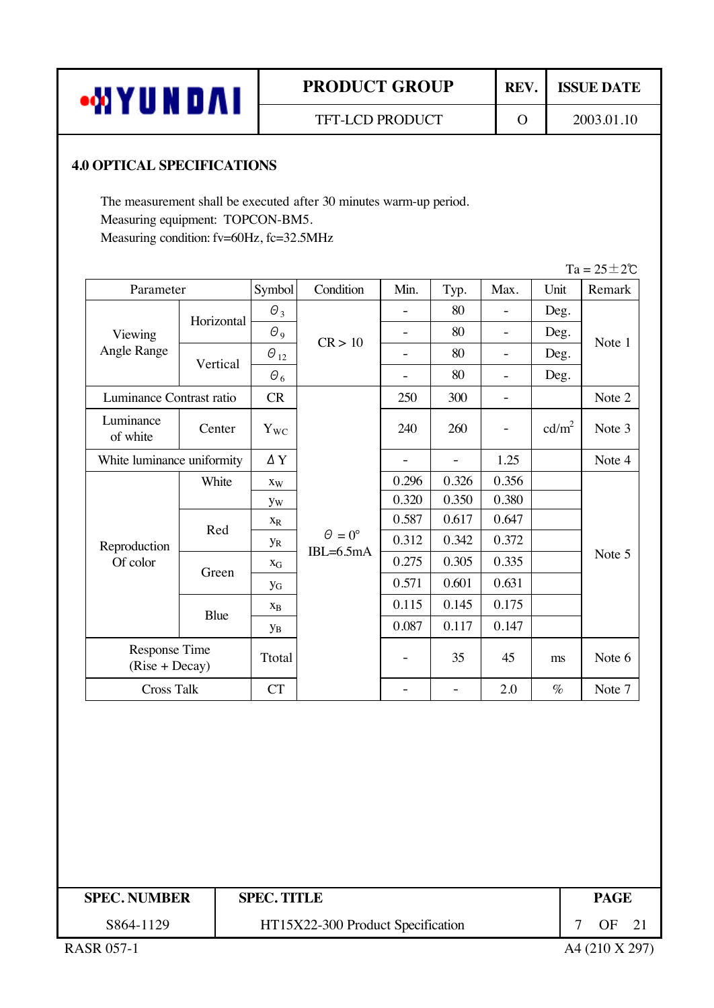| <b>WYUNDAI</b> |  |
|----------------|--|
|----------------|--|

### **4.0 OPTICAL SPECIFICATIONS**

The measurement shall be executed after 30 minutes warm-up period. Measuring equipment: TOPCON-BM5. Measuring condition: fv=60Hz, fc=32.5MHz

|                                   |            |                           |                                   |                          |                          |                          |                   | $Ta = 25 \pm 2\degree$ |
|-----------------------------------|------------|---------------------------|-----------------------------------|--------------------------|--------------------------|--------------------------|-------------------|------------------------|
| Parameter                         |            | Symbol                    | Condition                         | Min.                     | Typ.                     | Max.                     | Unit              | Remark                 |
| Viewing                           | Horizontal | $\theta_3$                |                                   |                          | 80                       | $\overline{a}$           | Deg.              |                        |
|                                   |            | $\theta$ <sub>9</sub>     | CR > 10                           | $\overline{a}$           | 80                       | $\overline{a}$           | Deg.              | Note 1                 |
| Angle Range                       | Vertical   | $\Theta_{12}$             |                                   | $\blacksquare$           | 80                       | $\overline{a}$           | Deg.              |                        |
|                                   |            | $\theta_{\,6}$            |                                   | $\overline{a}$           | 80                       | $\overline{a}$           | Deg.              |                        |
| Luminance Contrast ratio          |            | CR                        |                                   | 250                      | 300                      | $\overline{\phantom{0}}$ |                   | Note 2                 |
| Luminance<br>of white             | Center     | $\mathbf{Y}_{\text{WC}}$  |                                   | 240                      | 260                      | $\overline{\phantom{0}}$ | cd/m <sup>2</sup> | Note 3                 |
| White luminance uniformity        |            | $\Delta$ Y                |                                   | $\overline{\phantom{a}}$ | $\overline{\phantom{a}}$ | 1.25                     |                   | Note 4                 |
|                                   | White      | Xw                        |                                   | 0.296                    | 0.326                    | 0.356                    |                   | Note 5                 |
|                                   |            | <b>yw</b>                 | $\Theta = 0^\circ$<br>$IBL=6.5mA$ | 0.320                    | 0.350                    | 0.380                    |                   |                        |
|                                   | Red        | $\mathbf{X}_{\text{R}}$   |                                   | 0.587                    | 0.617                    | 0.647                    |                   |                        |
| Reproduction                      |            | $y_R$                     |                                   | 0.312                    | 0.342                    | 0.372                    |                   |                        |
| Of color                          | Green      | $\mathbf{X}_{\mathbf{G}}$ |                                   | 0.275                    | 0.305                    | 0.335                    |                   |                        |
|                                   |            | <b>y</b> <sub>G</sub>     |                                   | 0.571                    | 0.601                    | 0.631                    |                   |                        |
|                                   | Blue       | $\mathbf{X}_{\text{B}}$   |                                   | 0.115                    | 0.145                    | 0.175                    |                   |                        |
|                                   |            | $y_B$                     |                                   | 0.087                    | 0.117                    | 0.147                    |                   |                        |
| Response Time<br>$(Rise + Decay)$ |            | Ttotal                    |                                   |                          | 35                       | 45                       | ms                | Note 6                 |
| <b>Cross Talk</b>                 |            | <b>CT</b>                 |                                   | $\overline{\phantom{0}}$ | $\overline{\phantom{a}}$ | 2.0                      | $\%$              | Note 7                 |
|                                   |            |                           |                                   |                          |                          |                          |                   |                        |

| <b>SPEC. NUMBER</b> | <b>SPEC. TITLE</b>                | <b>PAGE</b>    |  |
|---------------------|-----------------------------------|----------------|--|
| S864-1129           | HT15X22-300 Product Specification | OF.            |  |
| <b>RASR 057-1</b>   |                                   | A4 (210 X 297) |  |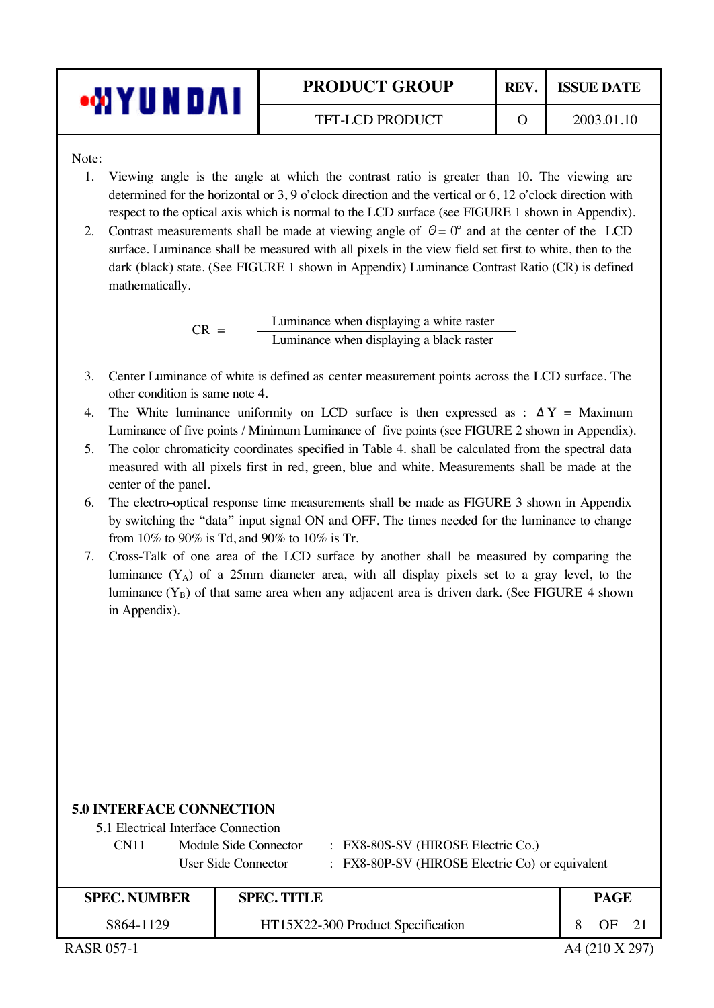| 'UN | <b>PRODUCT GROUP</b>   | <b>REV</b> | <b>ISSUE DATE</b> |
|-----|------------------------|------------|-------------------|
|     | <b>TFT-LCD PRODUCT</b> |            | 2003.01.10        |

Note:

- 1. Viewing angle is the angle at which the contrast ratio is greater than 10. The viewing are determined for the horizontal or 3, 9 o'clock direction and the vertical or 6, 12 o'clock direction with respect to the optical axis which is normal to the LCD surface (see FIGURE 1 shown in Appendix).
- 2. Contrast measurements shall be made at viewing angle of  $\theta = 0^{\circ}$  and at the center of the LCD surface. Luminance shall be measured with all pixels in the view field set first to white, then to the dark (black) state. (See FIGURE 1 shown in Appendix) Luminance Contrast Ratio (CR) is defined mathematically.

 $CR =$  Luminance when displaying a white raster Luminance when displaying a black raster

- 3. Center Luminance of white is defined as center measurement points across the LCD surface. The other condition is same note 4.
- 4. The White luminance uniformity on LCD surface is then expressed as :  $\Delta Y =$  Maximum Luminance of five points / Minimum Luminance of five points (see FIGURE 2 shown in Appendix).
- 5. The color chromaticity coordinates specified in Table 4. shall be calculated from the spectral data measured with all pixels first in red, green, blue and white. Measurements shall be made at the center of the panel.
- 6. The electro-optical response time measurements shall be made as FIGURE 3 shown in Appendix by switching the "data" input signal ON and OFF. The times needed for the luminance to change from 10% to 90% is Td, and 90% to 10% is Tr.
- 7. Cross-Talk of one area of the LCD surface by another shall be measured by comparing the luminance  $(Y_A)$  of a 25mm diameter area, with all display pixels set to a gray level, to the luminance  $(Y_B)$  of that same area when any adjacent area is driven dark. (See FIGURE 4 shown in Appendix).

#### **5.0 INTERFACE CONNECTION**

| CN <sub>11</sub> | Module Side Connector | : FX8-80S-SV (HIROSE Electric Co.)              |
|------------------|-----------------------|-------------------------------------------------|
|                  | User Side Connector   | : FX8-80P-SV (HIROSE Electric Co) or equivalent |

| <b>SPEC. NUMBER</b> | <b>SPEC. TITLE</b>                |  | PAGE           |  |
|---------------------|-----------------------------------|--|----------------|--|
| S864-1129           | HT15X22-300 Product Specification |  | $OF$ 21        |  |
| <b>RASR 057-1</b>   |                                   |  | A4 (210 X 297) |  |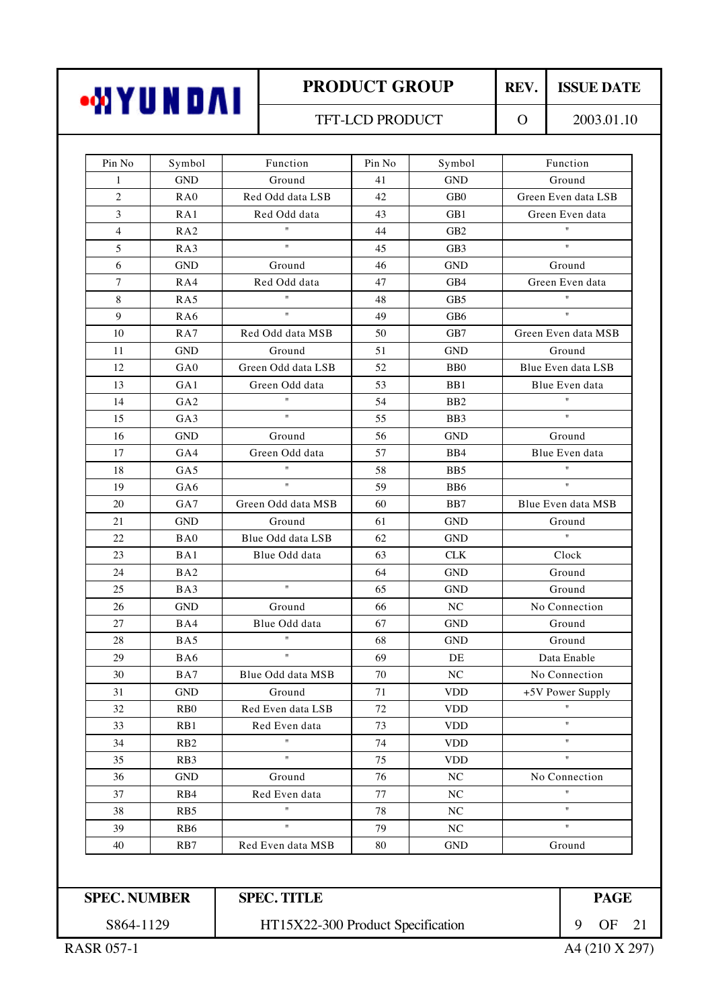| •MYUNDAI |  |
|----------|--|
|----------|--|

### TFT-LCD PRODUCT 0 2003.01.10

| Pin No              | Symbol           | Function                          | Pin No | Symbol           | Function                  |  |
|---------------------|------------------|-----------------------------------|--------|------------------|---------------------------|--|
| 1                   | <b>GND</b>       | Ground                            | 41     | <b>GND</b>       | Ground                    |  |
| $\overline{2}$      | RA0              | Red Odd data LSB                  | 42     | GB <sub>0</sub>  | Green Even data LSB       |  |
| 3                   | RA1              | Red Odd data                      | 43     | GB1              | Green Even data           |  |
| $\overline{4}$      | RA2              | $\mathbf{H}$                      | 44     | GB <sub>2</sub>  | $\mathbf{u}$              |  |
| 5                   | RA3              | $\mathbf{u}$                      | 45     | GB <sub>3</sub>  | $\boldsymbol{\mathsf{H}}$ |  |
| 6                   | <b>GND</b>       | Ground                            | 46     | <b>GND</b>       | Ground                    |  |
| 7                   | RA4              | Red Odd data                      | 47     | GB4              | Green Even data           |  |
| $\,8\,$             | RA5              | $\mathbf{H}$                      | 48     | GB <sub>5</sub>  | $\boldsymbol{\mathsf{H}}$ |  |
| 9                   | RA6              | $\boldsymbol{\mathsf{H}}$         | 49     | GB <sub>6</sub>  | $\boldsymbol{\mathsf{H}}$ |  |
| 10                  | RA7              | Red Odd data MSB                  | 50     | GB7              | Green Even data MSB       |  |
| 11                  | <b>GND</b>       | Ground                            | 51     | <b>GND</b>       | Ground                    |  |
| 12                  | GA0              | Green Odd data LSB                | 52     | B <sub>B</sub> O | Blue Even data LSB        |  |
| 13                  | GA1              | Green Odd data                    | 53     | B <sub>B1</sub>  | Blue Even data            |  |
| 14                  | GA <sub>2</sub>  | $\sf H$                           | 54     | B <sub>B2</sub>  | $\boldsymbol{\mathsf{H}}$ |  |
| 15                  | GA3              | $\mathbf{u}$                      | 55     | B <sub>B</sub> 3 | $\mathbf{H}$              |  |
| 16                  | <b>GND</b>       | Ground                            | 56     | <b>GND</b>       | Ground                    |  |
| 17                  | GA4              | Green Odd data                    | 57     | B <sub>B4</sub>  | Blue Even data            |  |
| 18                  | GA5              | $\sf H$                           | 58     | B <sub>B5</sub>  | $\boldsymbol{\mathsf{H}}$ |  |
| 19                  | GA6              | $\boldsymbol{\mathsf{H}}$         | 59     | B <sub>B6</sub>  | $\mathbf{u}$              |  |
| 20                  | GA7              | Green Odd data MSB                | 60     | B <sub>B</sub> 7 | Blue Even data MSB        |  |
| 21                  | <b>GND</b>       | Ground                            | 61     | <b>GND</b>       | Ground                    |  |
| 22                  | BA0              | Blue Odd data LSB                 | 62     | <b>GND</b>       | $\mathbf{H}$              |  |
| 23                  | BA1              | Blue Odd data                     | 63     | <b>CLK</b>       | Clock                     |  |
| 24                  | BA <sub>2</sub>  |                                   | 64     | <b>GND</b>       | Ground                    |  |
| 25                  | BA3              | $\mathbf{u}$                      | 65     | <b>GND</b>       | Ground                    |  |
| 26                  | <b>GND</b>       | Ground                            | 66     | NC               | No Connection             |  |
| 27                  | BA4              | Blue Odd data                     | 67     | <b>GND</b>       | Ground                    |  |
| 28                  | BA5              | Ħ                                 | 68     | <b>GND</b>       | Ground                    |  |
| 29                  | BA6              | $\boldsymbol{\mathsf{H}}$         | 69     | DE               | Data Enable               |  |
| 30                  | BA7              | Blue Odd data MSB                 | 70     | NC               | No Connection             |  |
| 31                  | <b>GND</b>       | Ground                            | 71     | <b>VDD</b>       | +5V Power Supply          |  |
| 32                  | R <sub>B</sub> 0 | Red Even data LSB                 | 72     | <b>VDD</b>       |                           |  |
| 33                  | RB1              | Red Even data                     | 73     | <b>VDD</b>       | $\pmb{\mathsf{H}}$        |  |
| 34                  | R <sub>B</sub> 2 | Ħ                                 | 74     | <b>VDD</b>       | $\pmb{\mathsf{H}}$        |  |
| 35                  | RB <sub>3</sub>  | $\sf H$                           | 75     | <b>VDD</b>       | $\pmb{\mathfrak{m}}$      |  |
| 36                  | <b>GND</b>       | Ground                            | 76     | NC               | No Connection             |  |
| 37                  | RB4              | Red Even data                     | 77     | NC               | Ħ                         |  |
| 38                  | R <sub>B5</sub>  | $\mathsf{H}$                      | 78     | NC               | $\pmb{\mathsf{H}}$        |  |
| 39                  | RB <sub>6</sub>  | $\mathsf{H}$                      | 79     | $\rm NC$         | $\boldsymbol{\mathsf{H}}$ |  |
| 40                  | R <sub>B</sub> 7 | Red Even data MSB                 | 80     | <b>GND</b>       | Ground                    |  |
|                     |                  |                                   |        |                  |                           |  |
| <b>SPEC. NUMBER</b> |                  | <b>SPEC. TITLE</b>                |        |                  | <b>PAGE</b>               |  |
| S864-1129           |                  | HT15X22-300 Product Specification |        |                  | 9<br>OF                   |  |

RASR 057-1 A4 (210 X 297)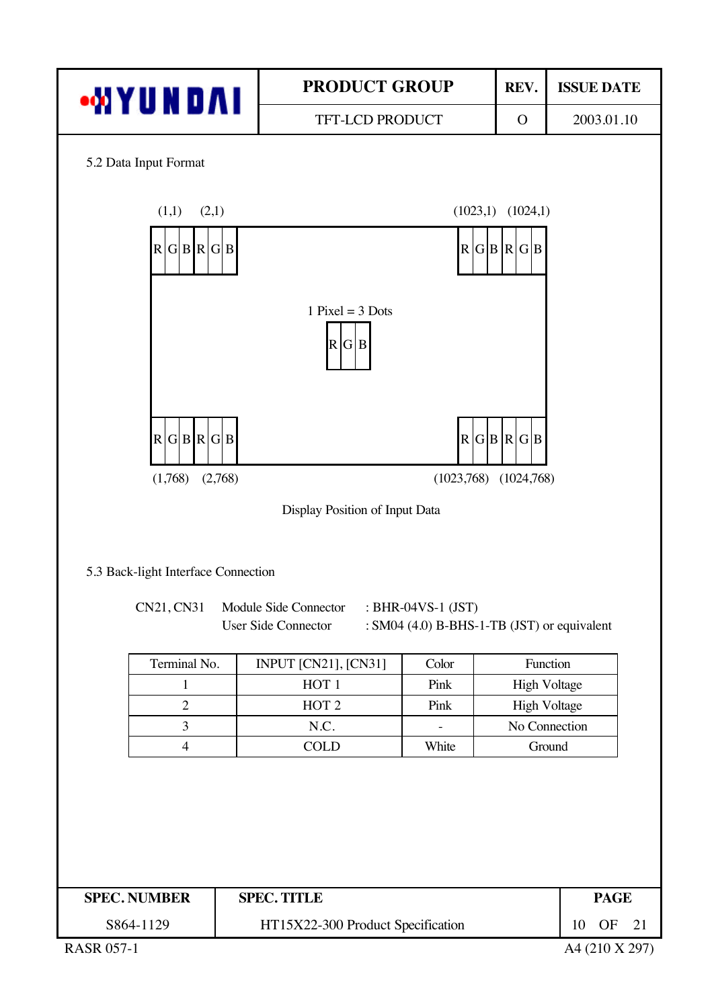

RASR 057-1 A4 (210 X 297)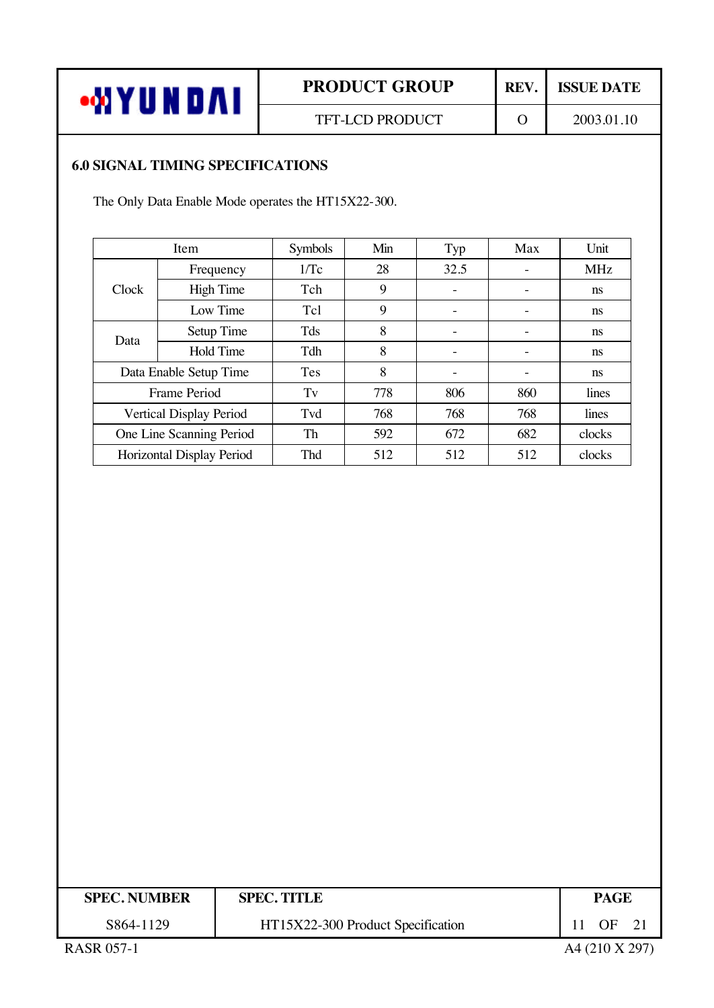

### **6.0 SIGNAL TIMING SPECIFICATIONS**

The Only Data Enable Mode operates the HT15X22-300.

|       | Item                      | <b>Symbols</b> | Min | Typ               | Max | Unit          |
|-------|---------------------------|----------------|-----|-------------------|-----|---------------|
|       | Frequency                 | 1/Tc           | 28  | 32.5              |     | <b>MHz</b>    |
| Clock | <b>High Time</b>          | Tch            | 9   | $\qquad \qquad -$ | -   | <sub>ns</sub> |
|       | Low Time                  | Tcl            | 9   |                   |     | ns            |
| Data  | Setup Time                | Tds            | 8   |                   |     | ns            |
|       | <b>Hold Time</b>          | Tdh            | 8   | -                 | -   | <sub>ns</sub> |
|       | Data Enable Setup Time    | <b>Tes</b>     | 8   |                   |     | ns            |
|       | Frame Period              | Tv             | 778 | 806               | 860 | lines         |
|       | Vertical Display Period   | Tvd            | 768 | 768               | 768 | lines         |
|       | One Line Scanning Period  | Th             | 592 | 672               | 682 | clocks        |
|       | Horizontal Display Period | <b>Thd</b>     | 512 | 512               | 512 | clocks        |

| <b>SPEC. NUMBER</b> | <b>SPEC. TITLE</b>                |  | <b>PAGE</b>      |  |
|---------------------|-----------------------------------|--|------------------|--|
| S864-1129           | HT15X22-300 Product Specification |  | OF <sub>21</sub> |  |
| <b>RASR 057-1</b>   |                                   |  | A4 (210 X 297)   |  |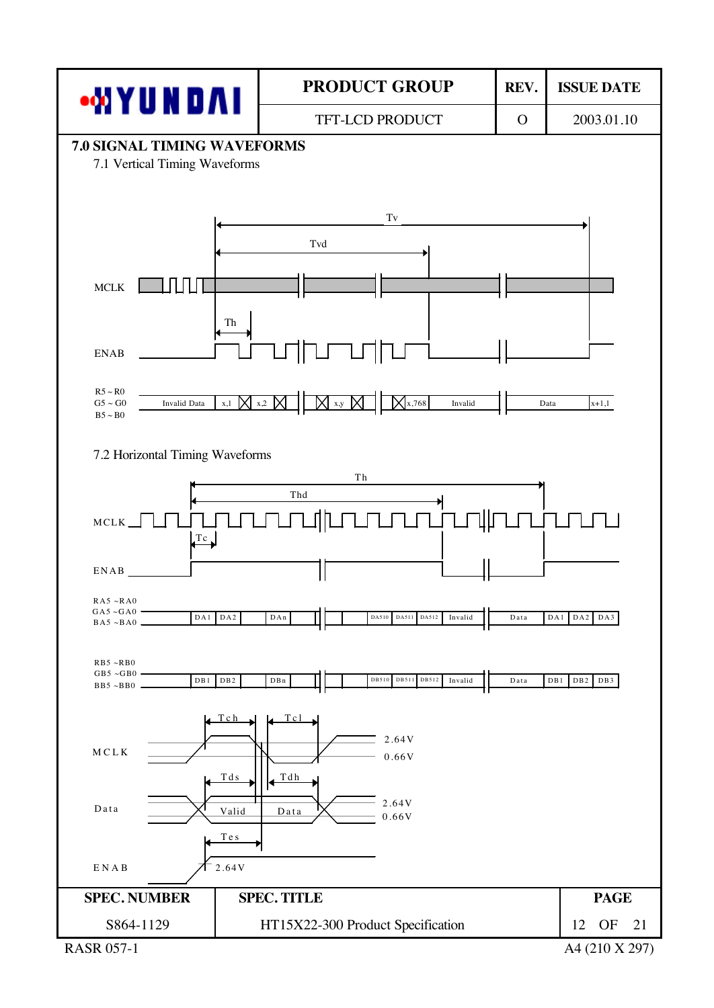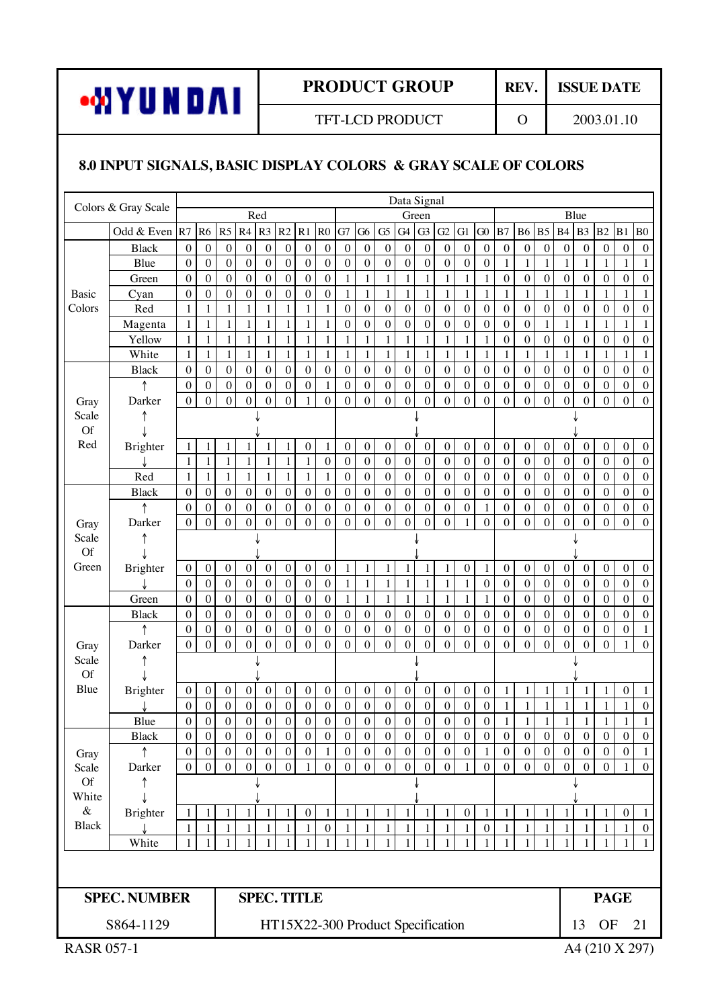

TFT-LCD PRODUCT 0 2003.01.10

## **8.0 INPUT SIGNALS, BASIC DISPLAY COLORS & GRAY SCALE OF COLORS**

| Colors & Gray Scale<br>Red<br>Blue<br>Green<br>Odd & Even R7<br>R <sub>5</sub><br>R3<br>R2<br>R1<br>G <sub>7</sub><br>G <sub>3</sub><br>G <sub>1</sub><br>R <sub>6</sub><br>R4<br>R <sub>0</sub><br>G <sub>5</sub><br>G4<br>G2<br>B7<br>B <sub>5</sub><br>B4<br>B <sub>3</sub><br>G6<br>G0<br><b>B6</b><br>$\boldsymbol{0}$<br>$\boldsymbol{0}$<br>$\boldsymbol{0}$<br>$\boldsymbol{0}$<br>$\boldsymbol{0}$<br>$\boldsymbol{0}$<br>$\boldsymbol{0}$<br>$\boldsymbol{0}$<br>$\boldsymbol{0}$<br>$\boldsymbol{0}$<br>$\boldsymbol{0}$<br>$\boldsymbol{0}$<br>$\boldsymbol{0}$<br>$\boldsymbol{0}$<br>$\boldsymbol{0}$<br>$\boldsymbol{0}$<br>$\boldsymbol{0}$<br><b>Black</b><br>$\boldsymbol{0}$<br>$\boldsymbol{0}$<br>$\boldsymbol{0}$<br>$\mathbf{0}$<br>$\boldsymbol{0}$<br>$\boldsymbol{0}$<br>$\boldsymbol{0}$<br>$\mathbf 1$<br>Blue<br>$\boldsymbol{0}$<br>$\boldsymbol{0}$<br>$\boldsymbol{0}$<br>$\boldsymbol{0}$<br>$\boldsymbol{0}$<br>$\boldsymbol{0}$<br>$\boldsymbol{0}$<br>$\boldsymbol{0}$<br>$\boldsymbol{0}$<br>$\mathbf{0}$<br>$\boldsymbol{0}$<br>$\boldsymbol{0}$<br>$\mathbf{1}$<br>$\boldsymbol{0}$<br>$\mathbf{1}$<br>1<br>1<br>$\boldsymbol{0}$<br>$\boldsymbol{0}$<br>$\boldsymbol{0}$<br>$\boldsymbol{0}$<br>$\boldsymbol{0}$<br>$\boldsymbol{0}$<br>$\mathbf{1}$<br>$\boldsymbol{0}$<br>$\boldsymbol{0}$<br>$\boldsymbol{0}$<br>$\boldsymbol{0}$<br>$\mathbf{0}$<br>$\mathbf{1}$<br>$\mathbf{1}$<br>$\mathbf{1}$<br>$\mathbf{1}$<br>$\boldsymbol{0}$<br>$\boldsymbol{0}$<br>Green<br>$\mathbf{1}$<br>1<br>1<br>$\boldsymbol{0}$<br>$\boldsymbol{0}$<br>$\boldsymbol{0}$<br>$\boldsymbol{0}$<br>$\boldsymbol{0}$<br>$\boldsymbol{0}$<br>$\mathbf{1}$<br>$\mathbf{1}$<br>$\mathbf{1}$<br>$\mathbf{1}$<br>$\,1$<br>$\mathbf{1}$<br>$\mathbf{1}$<br>$\overline{0}$<br>$\mathbf{0}$<br>$\mathbf{1}$<br>$\mathbf{1}$<br>$\mathbf{1}$<br>$\mathbf{1}$<br>$\mathbf{1}$<br>Cyan<br>$\mathbf{1}$<br>Basic<br>$\mathbf{1}$<br>$\mathbf{1}$<br>$\mathbf{1}$<br>$\boldsymbol{0}$<br>$\boldsymbol{0}$<br>$\boldsymbol{0}$<br>$\overline{0}$<br>$\boldsymbol{0}$<br>$\boldsymbol{0}$<br>Colors<br>$\mathbf 1$<br>$\mathbf{1}$<br>$\mathbf{1}$<br>$\mathbf{1}$<br>$\mathbf{1}$<br>$\boldsymbol{0}$<br>$\boldsymbol{0}$<br>$\boldsymbol{0}$<br>$\boldsymbol{0}$<br>$\boldsymbol{0}$<br>$\boldsymbol{0}$<br>$\boldsymbol{0}$<br>Red<br>$\overline{0}$<br>$\mathbf{1}$<br>$\mathbf{1}$<br>$\mathbf{1}$<br>$\mathbf{1}$<br>$\,1$<br>$\boldsymbol{0}$<br>$\boldsymbol{0}$<br>$\boldsymbol{0}$<br>$\boldsymbol{0}$<br>$\boldsymbol{0}$<br>$\boldsymbol{0}$<br>$\boldsymbol{0}$<br>$\mathbf{1}$<br>$\mathbf{1}$<br>$\mathbf{1}$<br>$\mathbf{1}$<br>$\mathbf{1}$<br>$\boldsymbol{0}$<br>$\boldsymbol{0}$<br>$\mathbf{1}$<br>Magenta<br>$1\,$<br>$\mathbf{1}$<br>$\mathbf{1}$<br>$\mathbf{1}$<br>$\mathbf{1}$<br>$\mathbf{1}$<br>$\,1\,$<br>$\boldsymbol{0}$<br>$\boldsymbol{0}$<br>$\boldsymbol{0}$<br>$\boldsymbol{0}$<br>$\mathbf{1}$<br>$\mathbf{1}$<br>$\mathbf{1}$<br>$\mathbf{1}$<br>$\mathbf{1}$<br>$\mathbf{1}$<br>$\boldsymbol{0}$<br>Yellow<br>$\mathbf{1}$<br>$\mathbf{1}$<br>$\mathbf{1}$<br>$\mathbf{1}$<br>$\mathbf{1}$<br>$\mathbf{1}$<br>$\mathbf{1}$<br>$\mathbf{1}$<br>$\mathbf{1}$<br>$\mathbf{1}$<br>$\,1$<br>$\mathbf{1}$<br>$\mathbf{1}$<br>$\mathbf{1}$<br>$\mathbf{1}$<br>White<br>$\,1$<br>$\mathbf{1}$<br>$\mathbf{1}$<br>$\mathbf{1}$<br>$\mathbf{1}$<br>$\mathbf{1}$<br>$\mathbf{1}$<br>$\mathbf{1}$<br>$\mathbf{1}$<br>$\boldsymbol{0}$<br>$\boldsymbol{0}$<br>$\boldsymbol{0}$<br>$\boldsymbol{0}$<br>$\boldsymbol{0}$<br>$\boldsymbol{0}$<br>$\overline{0}$<br>$\boldsymbol{0}$<br>$\boldsymbol{0}$<br>$\boldsymbol{0}$<br>$\boldsymbol{0}$<br>$\boldsymbol{0}$<br>$\boldsymbol{0}$<br>$\boldsymbol{0}$<br>$\boldsymbol{0}$<br>$\boldsymbol{0}$<br>$\boldsymbol{0}$<br>$\boldsymbol{0}$<br>$\boldsymbol{0}$<br>$\boldsymbol{0}$<br>$\boldsymbol{0}$<br><b>Black</b><br>$\boldsymbol{0}$<br>$\boldsymbol{0}$<br>$\boldsymbol{0}$<br>$\boldsymbol{0}$<br>$\boldsymbol{0}$<br>$\boldsymbol{0}$<br>$\boldsymbol{0}$<br>$\boldsymbol{0}$<br>$\boldsymbol{0}$<br>$\boldsymbol{0}$<br>$\boldsymbol{0}$<br>$\boldsymbol{0}$<br>$\boldsymbol{0}$<br>$\boldsymbol{0}$<br>$\boldsymbol{0}$<br>$\boldsymbol{0}$<br>$\boldsymbol{0}$<br>$\mathbf{1}$<br>$\boldsymbol{0}$<br>$\mathbf{0}$<br>$\overline{0}$<br>$\boldsymbol{0}$<br>$\mathbf 0$<br>$\overline{0}$<br>$\boldsymbol{0}$<br>$\mathbf{0}$<br>$\overline{0}$<br>$\boldsymbol{0}$<br>$\overline{0}$<br>$\mathbf{0}$<br>Darker<br>$\boldsymbol{0}$<br>$\boldsymbol{0}$<br>$\boldsymbol{0}$<br>$\overline{0}$<br>$\boldsymbol{0}$<br>$\boldsymbol{0}$<br>$\boldsymbol{0}$<br>$\boldsymbol{0}$<br>$\boldsymbol{0}$<br>$\mathbf{1}$<br>$\mathbf{0}$<br>$\mathbf{0}$<br>Gray<br>Scale<br><b>Of</b><br>Red<br>$\boldsymbol{0}$<br>$\boldsymbol{0}$<br>Brighter<br>$\mathbf{1}$<br>$\boldsymbol{0}$<br>$\boldsymbol{0}$<br>$\boldsymbol{0}$<br>$\boldsymbol{0}$<br>$\boldsymbol{0}$<br>$\boldsymbol{0}$<br>$\boldsymbol{0}$<br>$\boldsymbol{0}$<br>$\boldsymbol{0}$<br>$\boldsymbol{0}$<br>$\boldsymbol{0}$<br>$\mathbf{1}$<br>$\mathbf{1}$<br>$\mathbf{1}$<br>$\boldsymbol{0}$<br>1<br>1<br>1<br>$\mathbf{1}$<br>$\overline{0}$<br>$\mathbf 0$<br>$\mathbf{1}$<br>$\mathbf{1}$<br>$\mathbf{1}$<br>$\mathbf{1}$<br>$\mathbf{1}$<br>$\boldsymbol{0}$<br>$\boldsymbol{0}$<br>$\boldsymbol{0}$<br>$\boldsymbol{0}$<br>$\boldsymbol{0}$<br>$\overline{0}$<br>$\boldsymbol{0}$<br>$\boldsymbol{0}$<br>$\boldsymbol{0}$<br>$\boldsymbol{0}$<br>$\boldsymbol{0}$<br>$\mathbf 1$<br>$\boldsymbol{0}$<br>$\boldsymbol{0}$<br>$\,1$<br>$\mathbf{1}$<br>$\mathbf{1}$<br>$\mathbf{1}$<br>$\mathbf{1}$<br>$\mathbf{1}$<br>$\boldsymbol{0}$<br>$\boldsymbol{0}$<br>$\boldsymbol{0}$<br>$\boldsymbol{0}$<br>$\boldsymbol{0}$<br>$\boldsymbol{0}$<br>$\boldsymbol{0}$<br>$\boldsymbol{0}$<br>$\boldsymbol{0}$<br>$\boldsymbol{0}$<br>Red<br>$\mathbf{1}$<br>$\mathbf{1}$<br>$\boldsymbol{0}$<br>$\boldsymbol{0}$<br>$\mathbf{0}$<br>$\boldsymbol{0}$<br>$\boldsymbol{0}$<br>$\boldsymbol{0}$<br>$\boldsymbol{0}$<br>$\boldsymbol{0}$<br>$\boldsymbol{0}$<br>$\boldsymbol{0}$<br>$\overline{0}$<br>$\boldsymbol{0}$<br>$\boldsymbol{0}$<br>$\boldsymbol{0}$<br>$\boldsymbol{0}$<br>$\boldsymbol{0}$<br>$\boldsymbol{0}$<br>$\boldsymbol{0}$<br>$\boldsymbol{0}$<br>$\boldsymbol{0}$<br>$\boldsymbol{0}$<br>$\boldsymbol{0}$<br>$\boldsymbol{0}$<br><b>Black</b><br>$\boldsymbol{0}$<br>$\boldsymbol{0}$<br>$\boldsymbol{0}$<br>$\boldsymbol{0}$<br>$\boldsymbol{0}$<br>$\boldsymbol{0}$<br>↑<br>$\boldsymbol{0}$<br>$\boldsymbol{0}$<br>$\boldsymbol{0}$<br>$\boldsymbol{0}$<br>$\boldsymbol{0}$<br>$\boldsymbol{0}$<br>$\boldsymbol{0}$<br>$\boldsymbol{0}$<br>$\boldsymbol{0}$<br>$\boldsymbol{0}$<br>$\boldsymbol{0}$<br>$\boldsymbol{0}$<br>$1\,$<br>$\boldsymbol{0}$<br>$\overline{0}$<br>$\overline{0}$<br>$\overline{0}$<br>$\overline{0}$<br>$\overline{0}$<br>$\mathbf{0}$<br>$\overline{0}$<br>$\overline{0}$<br>$\mathbf{0}$<br>$\overline{0}$<br>$\overline{0}$<br>$\boldsymbol{0}$<br>$\boldsymbol{0}$<br>$\boldsymbol{0}$<br>$\boldsymbol{0}$<br>$\overline{0}$<br>$\boldsymbol{0}$<br>$\boldsymbol{0}$<br>$\boldsymbol{0}$<br>Darker<br>$\mathbf{0}$<br>$\mathbf{0}$<br>1<br>Gray<br>Scale<br><b>Of</b><br>Green<br>$\boldsymbol{0}$<br>$\boldsymbol{0}$<br>$\,1\,$<br>$\boldsymbol{0}$<br>$\boldsymbol{0}$<br>$\boldsymbol{0}$<br>$\boldsymbol{0}$<br>$\boldsymbol{0}$<br>$\boldsymbol{0}$<br>$\boldsymbol{0}$<br>$\boldsymbol{0}$<br>$\boldsymbol{0}$<br>$\,1$<br>$\,1$<br>$\boldsymbol{0}$<br>$\boldsymbol{0}$<br>$\boldsymbol{0}$<br>Brighter<br>$\mathbf{1}$<br>$\mathbf{1}$<br>$\mathbf{1}$<br>$\mathbf{1}$ | B2<br>B1<br>B <sub>0</sub><br>$\boldsymbol{0}$<br>$\boldsymbol{0}$<br>$\mathbf{0}$<br>$\mathbf{1}$<br>$\mathbf{1}$<br>$\mathbf{1}$<br>$\overline{0}$<br>$\boldsymbol{0}$<br>$\boldsymbol{0}$<br>$\mathbf{1}$<br>$\mathbf{1}$<br>$\mathbf{1}$<br>$\overline{0}$<br>$\boldsymbol{0}$<br>$\boldsymbol{0}$<br>$\mathbf{1}$<br>$\mathbf{1}$<br>$\mathbf{1}$<br>$\overline{0}$<br>$\boldsymbol{0}$<br>$\boldsymbol{0}$<br>$\overline{1}$<br>$\mathbf{1}$<br>$\mathbf{1}$<br>$\mathbf 0$<br>$\boldsymbol{0}$<br>$\boldsymbol{0}$<br>$\boldsymbol{0}$<br>$\boldsymbol{0}$<br>$\boldsymbol{0}$<br>$\overline{0}$<br>$\boldsymbol{0}$<br>$\boldsymbol{0}$<br>$\boldsymbol{0}$<br>$\boldsymbol{0}$<br>$\boldsymbol{0}$<br>$\overline{0}$<br>$\boldsymbol{0}$<br>$\boldsymbol{0}$<br>$\overline{0}$<br>$\boldsymbol{0}$<br>$\boldsymbol{0}$<br>$\mathbf{0}$<br>$\boldsymbol{0}$<br>$\boldsymbol{0}$<br>$\boldsymbol{0}$<br>$\boldsymbol{0}$<br>$\boldsymbol{0}$<br>$\overline{0}$<br>$\boldsymbol{0}$<br>$\boldsymbol{0}$ |  |  |  |  |
|----------------------------------------------------------------------------------------------------------------------------------------------------------------------------------------------------------------------------------------------------------------------------------------------------------------------------------------------------------------------------------------------------------------------------------------------------------------------------------------------------------------------------------------------------------------------------------------------------------------------------------------------------------------------------------------------------------------------------------------------------------------------------------------------------------------------------------------------------------------------------------------------------------------------------------------------------------------------------------------------------------------------------------------------------------------------------------------------------------------------------------------------------------------------------------------------------------------------------------------------------------------------------------------------------------------------------------------------------------------------------------------------------------------------------------------------------------------------------------------------------------------------------------------------------------------------------------------------------------------------------------------------------------------------------------------------------------------------------------------------------------------------------------------------------------------------------------------------------------------------------------------------------------------------------------------------------------------------------------------------------------------------------------------------------------------------------------------------------------------------------------------------------------------------------------------------------------------------------------------------------------------------------------------------------------------------------------------------------------------------------------------------------------------------------------------------------------------------------------------------------------------------------------------------------------------------------------------------------------------------------------------------------------------------------------------------------------------------------------------------------------------------------------------------------------------------------------------------------------------------------------------------------------------------------------------------------------------------------------------------------------------------------------------------------------------------------------------------------------------------------------------------------------------------------------------------------------------------------------------------------------------------------------------------------------------------------------------------------------------------------------------------------------------------------------------------------------------------------------------------------------------------------------------------------------------------------------------------------------------------------------------------------------------------------------------------------------------------------------------------------------------------------------------------------------------------------------------------------------------------------------------------------------------------------------------------------------------------------------------------------------------------------------------------------------------------------------------------------------------------------------------------------------------------------------------------------------------------------------------------------------------------------------------------------------------------------------------------------------------------------------------------------------------------------------------------------------------------------------------------------------------------------------------------------------------------------------------------------------------------------------------------------------------------------------------------------------------------------------------------------------------------------------------------------------------------------------------------------------------------------------------------------------------------------------------------------------------------------------------------------------------------------------------------------------------------------------------------------------------------------------------------------------------------------------------------------------------------------------------------------------------------------------------------------------------------------------------------------------------------------------------------------------------------------------------------------------------------------------------------------------------------------------------------------------------------------------------------------------------------------------------------------------------------------------------------------------------------------------------------------------------------------------------------------------------------------------------------------------------------------------------------------------------------------------------------------------------------------------------------------------------------------------------------------------------------------------------------------------------------------------------------------------------------------------------------------------------------------------------------------------------------------------------------------------------------------------------------------------------------------------------------------------------------------------------------------------------------------------------------------------------------------------------------------------------------------------------------------------------------------------------------------------------------------------------------------------------------------------------------------------------------------------------------------------------------------------------------------------------------------------------------------------------------------------------------------------------------------------------------------------------------------------------------------------------------------------------------------------------------------------------------------------------------------------------------------------------------------------------------------------------------------------------------------------------------------------------------------------------------------------------------------------------------------------------------------------------------------------------------------------------------------------------------------------------------------------------------------------------------------------------------------------------------------------------|---------------------------------------------------------------------------------------------------------------------------------------------------------------------------------------------------------------------------------------------------------------------------------------------------------------------------------------------------------------------------------------------------------------------------------------------------------------------------------------------------------------------------------------------------------------------------------------------------------------------------------------------------------------------------------------------------------------------------------------------------------------------------------------------------------------------------------------------------------------------------------------------------------------------------------------------------------------------------------------------------------------|--|--|--|--|
|                                                                                                                                                                                                                                                                                                                                                                                                                                                                                                                                                                                                                                                                                                                                                                                                                                                                                                                                                                                                                                                                                                                                                                                                                                                                                                                                                                                                                                                                                                                                                                                                                                                                                                                                                                                                                                                                                                                                                                                                                                                                                                                                                                                                                                                                                                                                                                                                                                                                                                                                                                                                                                                                                                                                                                                                                                                                                                                                                                                                                                                                                                                                                                                                                                                                                                                                                                                                                                                                                                                                                                                                                                                                                                                                                                                                                                                                                                                                                                                                                                                                                                                                                                                                                                                                                                                                                                                                                                                                                                                                                                                                                                                                                                                                                                                                                                                                                                                                                                                                                                                                                                                                                                                                                                                                                                                                                                                                                                                                                                                                                                                                                                                                                                                                                                                                                                                                                                                                                                                                                                                                                                                                                                                                                                                                                                                                                                                                                                                                                                                                                                                                                                                                                                                                                                                                                                                                                                                                                                                                                                                                                                                                                                                                                                                                                                                                                                                                                                                                                                                                                                                                                                                                                        |                                                                                                                                                                                                                                                                                                                                                                                                                                                                                                                                                                                                                                                                                                                                                                                                                                                                                                                                                                                                               |  |  |  |  |
|                                                                                                                                                                                                                                                                                                                                                                                                                                                                                                                                                                                                                                                                                                                                                                                                                                                                                                                                                                                                                                                                                                                                                                                                                                                                                                                                                                                                                                                                                                                                                                                                                                                                                                                                                                                                                                                                                                                                                                                                                                                                                                                                                                                                                                                                                                                                                                                                                                                                                                                                                                                                                                                                                                                                                                                                                                                                                                                                                                                                                                                                                                                                                                                                                                                                                                                                                                                                                                                                                                                                                                                                                                                                                                                                                                                                                                                                                                                                                                                                                                                                                                                                                                                                                                                                                                                                                                                                                                                                                                                                                                                                                                                                                                                                                                                                                                                                                                                                                                                                                                                                                                                                                                                                                                                                                                                                                                                                                                                                                                                                                                                                                                                                                                                                                                                                                                                                                                                                                                                                                                                                                                                                                                                                                                                                                                                                                                                                                                                                                                                                                                                                                                                                                                                                                                                                                                                                                                                                                                                                                                                                                                                                                                                                                                                                                                                                                                                                                                                                                                                                                                                                                                                                                        |                                                                                                                                                                                                                                                                                                                                                                                                                                                                                                                                                                                                                                                                                                                                                                                                                                                                                                                                                                                                               |  |  |  |  |
|                                                                                                                                                                                                                                                                                                                                                                                                                                                                                                                                                                                                                                                                                                                                                                                                                                                                                                                                                                                                                                                                                                                                                                                                                                                                                                                                                                                                                                                                                                                                                                                                                                                                                                                                                                                                                                                                                                                                                                                                                                                                                                                                                                                                                                                                                                                                                                                                                                                                                                                                                                                                                                                                                                                                                                                                                                                                                                                                                                                                                                                                                                                                                                                                                                                                                                                                                                                                                                                                                                                                                                                                                                                                                                                                                                                                                                                                                                                                                                                                                                                                                                                                                                                                                                                                                                                                                                                                                                                                                                                                                                                                                                                                                                                                                                                                                                                                                                                                                                                                                                                                                                                                                                                                                                                                                                                                                                                                                                                                                                                                                                                                                                                                                                                                                                                                                                                                                                                                                                                                                                                                                                                                                                                                                                                                                                                                                                                                                                                                                                                                                                                                                                                                                                                                                                                                                                                                                                                                                                                                                                                                                                                                                                                                                                                                                                                                                                                                                                                                                                                                                                                                                                                                                        |                                                                                                                                                                                                                                                                                                                                                                                                                                                                                                                                                                                                                                                                                                                                                                                                                                                                                                                                                                                                               |  |  |  |  |
|                                                                                                                                                                                                                                                                                                                                                                                                                                                                                                                                                                                                                                                                                                                                                                                                                                                                                                                                                                                                                                                                                                                                                                                                                                                                                                                                                                                                                                                                                                                                                                                                                                                                                                                                                                                                                                                                                                                                                                                                                                                                                                                                                                                                                                                                                                                                                                                                                                                                                                                                                                                                                                                                                                                                                                                                                                                                                                                                                                                                                                                                                                                                                                                                                                                                                                                                                                                                                                                                                                                                                                                                                                                                                                                                                                                                                                                                                                                                                                                                                                                                                                                                                                                                                                                                                                                                                                                                                                                                                                                                                                                                                                                                                                                                                                                                                                                                                                                                                                                                                                                                                                                                                                                                                                                                                                                                                                                                                                                                                                                                                                                                                                                                                                                                                                                                                                                                                                                                                                                                                                                                                                                                                                                                                                                                                                                                                                                                                                                                                                                                                                                                                                                                                                                                                                                                                                                                                                                                                                                                                                                                                                                                                                                                                                                                                                                                                                                                                                                                                                                                                                                                                                                                                        |                                                                                                                                                                                                                                                                                                                                                                                                                                                                                                                                                                                                                                                                                                                                                                                                                                                                                                                                                                                                               |  |  |  |  |
|                                                                                                                                                                                                                                                                                                                                                                                                                                                                                                                                                                                                                                                                                                                                                                                                                                                                                                                                                                                                                                                                                                                                                                                                                                                                                                                                                                                                                                                                                                                                                                                                                                                                                                                                                                                                                                                                                                                                                                                                                                                                                                                                                                                                                                                                                                                                                                                                                                                                                                                                                                                                                                                                                                                                                                                                                                                                                                                                                                                                                                                                                                                                                                                                                                                                                                                                                                                                                                                                                                                                                                                                                                                                                                                                                                                                                                                                                                                                                                                                                                                                                                                                                                                                                                                                                                                                                                                                                                                                                                                                                                                                                                                                                                                                                                                                                                                                                                                                                                                                                                                                                                                                                                                                                                                                                                                                                                                                                                                                                                                                                                                                                                                                                                                                                                                                                                                                                                                                                                                                                                                                                                                                                                                                                                                                                                                                                                                                                                                                                                                                                                                                                                                                                                                                                                                                                                                                                                                                                                                                                                                                                                                                                                                                                                                                                                                                                                                                                                                                                                                                                                                                                                                                                        |                                                                                                                                                                                                                                                                                                                                                                                                                                                                                                                                                                                                                                                                                                                                                                                                                                                                                                                                                                                                               |  |  |  |  |
|                                                                                                                                                                                                                                                                                                                                                                                                                                                                                                                                                                                                                                                                                                                                                                                                                                                                                                                                                                                                                                                                                                                                                                                                                                                                                                                                                                                                                                                                                                                                                                                                                                                                                                                                                                                                                                                                                                                                                                                                                                                                                                                                                                                                                                                                                                                                                                                                                                                                                                                                                                                                                                                                                                                                                                                                                                                                                                                                                                                                                                                                                                                                                                                                                                                                                                                                                                                                                                                                                                                                                                                                                                                                                                                                                                                                                                                                                                                                                                                                                                                                                                                                                                                                                                                                                                                                                                                                                                                                                                                                                                                                                                                                                                                                                                                                                                                                                                                                                                                                                                                                                                                                                                                                                                                                                                                                                                                                                                                                                                                                                                                                                                                                                                                                                                                                                                                                                                                                                                                                                                                                                                                                                                                                                                                                                                                                                                                                                                                                                                                                                                                                                                                                                                                                                                                                                                                                                                                                                                                                                                                                                                                                                                                                                                                                                                                                                                                                                                                                                                                                                                                                                                                                                        |                                                                                                                                                                                                                                                                                                                                                                                                                                                                                                                                                                                                                                                                                                                                                                                                                                                                                                                                                                                                               |  |  |  |  |
|                                                                                                                                                                                                                                                                                                                                                                                                                                                                                                                                                                                                                                                                                                                                                                                                                                                                                                                                                                                                                                                                                                                                                                                                                                                                                                                                                                                                                                                                                                                                                                                                                                                                                                                                                                                                                                                                                                                                                                                                                                                                                                                                                                                                                                                                                                                                                                                                                                                                                                                                                                                                                                                                                                                                                                                                                                                                                                                                                                                                                                                                                                                                                                                                                                                                                                                                                                                                                                                                                                                                                                                                                                                                                                                                                                                                                                                                                                                                                                                                                                                                                                                                                                                                                                                                                                                                                                                                                                                                                                                                                                                                                                                                                                                                                                                                                                                                                                                                                                                                                                                                                                                                                                                                                                                                                                                                                                                                                                                                                                                                                                                                                                                                                                                                                                                                                                                                                                                                                                                                                                                                                                                                                                                                                                                                                                                                                                                                                                                                                                                                                                                                                                                                                                                                                                                                                                                                                                                                                                                                                                                                                                                                                                                                                                                                                                                                                                                                                                                                                                                                                                                                                                                                                        |                                                                                                                                                                                                                                                                                                                                                                                                                                                                                                                                                                                                                                                                                                                                                                                                                                                                                                                                                                                                               |  |  |  |  |
|                                                                                                                                                                                                                                                                                                                                                                                                                                                                                                                                                                                                                                                                                                                                                                                                                                                                                                                                                                                                                                                                                                                                                                                                                                                                                                                                                                                                                                                                                                                                                                                                                                                                                                                                                                                                                                                                                                                                                                                                                                                                                                                                                                                                                                                                                                                                                                                                                                                                                                                                                                                                                                                                                                                                                                                                                                                                                                                                                                                                                                                                                                                                                                                                                                                                                                                                                                                                                                                                                                                                                                                                                                                                                                                                                                                                                                                                                                                                                                                                                                                                                                                                                                                                                                                                                                                                                                                                                                                                                                                                                                                                                                                                                                                                                                                                                                                                                                                                                                                                                                                                                                                                                                                                                                                                                                                                                                                                                                                                                                                                                                                                                                                                                                                                                                                                                                                                                                                                                                                                                                                                                                                                                                                                                                                                                                                                                                                                                                                                                                                                                                                                                                                                                                                                                                                                                                                                                                                                                                                                                                                                                                                                                                                                                                                                                                                                                                                                                                                                                                                                                                                                                                                                                        |                                                                                                                                                                                                                                                                                                                                                                                                                                                                                                                                                                                                                                                                                                                                                                                                                                                                                                                                                                                                               |  |  |  |  |
|                                                                                                                                                                                                                                                                                                                                                                                                                                                                                                                                                                                                                                                                                                                                                                                                                                                                                                                                                                                                                                                                                                                                                                                                                                                                                                                                                                                                                                                                                                                                                                                                                                                                                                                                                                                                                                                                                                                                                                                                                                                                                                                                                                                                                                                                                                                                                                                                                                                                                                                                                                                                                                                                                                                                                                                                                                                                                                                                                                                                                                                                                                                                                                                                                                                                                                                                                                                                                                                                                                                                                                                                                                                                                                                                                                                                                                                                                                                                                                                                                                                                                                                                                                                                                                                                                                                                                                                                                                                                                                                                                                                                                                                                                                                                                                                                                                                                                                                                                                                                                                                                                                                                                                                                                                                                                                                                                                                                                                                                                                                                                                                                                                                                                                                                                                                                                                                                                                                                                                                                                                                                                                                                                                                                                                                                                                                                                                                                                                                                                                                                                                                                                                                                                                                                                                                                                                                                                                                                                                                                                                                                                                                                                                                                                                                                                                                                                                                                                                                                                                                                                                                                                                                                                        |                                                                                                                                                                                                                                                                                                                                                                                                                                                                                                                                                                                                                                                                                                                                                                                                                                                                                                                                                                                                               |  |  |  |  |
|                                                                                                                                                                                                                                                                                                                                                                                                                                                                                                                                                                                                                                                                                                                                                                                                                                                                                                                                                                                                                                                                                                                                                                                                                                                                                                                                                                                                                                                                                                                                                                                                                                                                                                                                                                                                                                                                                                                                                                                                                                                                                                                                                                                                                                                                                                                                                                                                                                                                                                                                                                                                                                                                                                                                                                                                                                                                                                                                                                                                                                                                                                                                                                                                                                                                                                                                                                                                                                                                                                                                                                                                                                                                                                                                                                                                                                                                                                                                                                                                                                                                                                                                                                                                                                                                                                                                                                                                                                                                                                                                                                                                                                                                                                                                                                                                                                                                                                                                                                                                                                                                                                                                                                                                                                                                                                                                                                                                                                                                                                                                                                                                                                                                                                                                                                                                                                                                                                                                                                                                                                                                                                                                                                                                                                                                                                                                                                                                                                                                                                                                                                                                                                                                                                                                                                                                                                                                                                                                                                                                                                                                                                                                                                                                                                                                                                                                                                                                                                                                                                                                                                                                                                                                                        |                                                                                                                                                                                                                                                                                                                                                                                                                                                                                                                                                                                                                                                                                                                                                                                                                                                                                                                                                                                                               |  |  |  |  |
|                                                                                                                                                                                                                                                                                                                                                                                                                                                                                                                                                                                                                                                                                                                                                                                                                                                                                                                                                                                                                                                                                                                                                                                                                                                                                                                                                                                                                                                                                                                                                                                                                                                                                                                                                                                                                                                                                                                                                                                                                                                                                                                                                                                                                                                                                                                                                                                                                                                                                                                                                                                                                                                                                                                                                                                                                                                                                                                                                                                                                                                                                                                                                                                                                                                                                                                                                                                                                                                                                                                                                                                                                                                                                                                                                                                                                                                                                                                                                                                                                                                                                                                                                                                                                                                                                                                                                                                                                                                                                                                                                                                                                                                                                                                                                                                                                                                                                                                                                                                                                                                                                                                                                                                                                                                                                                                                                                                                                                                                                                                                                                                                                                                                                                                                                                                                                                                                                                                                                                                                                                                                                                                                                                                                                                                                                                                                                                                                                                                                                                                                                                                                                                                                                                                                                                                                                                                                                                                                                                                                                                                                                                                                                                                                                                                                                                                                                                                                                                                                                                                                                                                                                                                                                        |                                                                                                                                                                                                                                                                                                                                                                                                                                                                                                                                                                                                                                                                                                                                                                                                                                                                                                                                                                                                               |  |  |  |  |
|                                                                                                                                                                                                                                                                                                                                                                                                                                                                                                                                                                                                                                                                                                                                                                                                                                                                                                                                                                                                                                                                                                                                                                                                                                                                                                                                                                                                                                                                                                                                                                                                                                                                                                                                                                                                                                                                                                                                                                                                                                                                                                                                                                                                                                                                                                                                                                                                                                                                                                                                                                                                                                                                                                                                                                                                                                                                                                                                                                                                                                                                                                                                                                                                                                                                                                                                                                                                                                                                                                                                                                                                                                                                                                                                                                                                                                                                                                                                                                                                                                                                                                                                                                                                                                                                                                                                                                                                                                                                                                                                                                                                                                                                                                                                                                                                                                                                                                                                                                                                                                                                                                                                                                                                                                                                                                                                                                                                                                                                                                                                                                                                                                                                                                                                                                                                                                                                                                                                                                                                                                                                                                                                                                                                                                                                                                                                                                                                                                                                                                                                                                                                                                                                                                                                                                                                                                                                                                                                                                                                                                                                                                                                                                                                                                                                                                                                                                                                                                                                                                                                                                                                                                                                                        |                                                                                                                                                                                                                                                                                                                                                                                                                                                                                                                                                                                                                                                                                                                                                                                                                                                                                                                                                                                                               |  |  |  |  |
|                                                                                                                                                                                                                                                                                                                                                                                                                                                                                                                                                                                                                                                                                                                                                                                                                                                                                                                                                                                                                                                                                                                                                                                                                                                                                                                                                                                                                                                                                                                                                                                                                                                                                                                                                                                                                                                                                                                                                                                                                                                                                                                                                                                                                                                                                                                                                                                                                                                                                                                                                                                                                                                                                                                                                                                                                                                                                                                                                                                                                                                                                                                                                                                                                                                                                                                                                                                                                                                                                                                                                                                                                                                                                                                                                                                                                                                                                                                                                                                                                                                                                                                                                                                                                                                                                                                                                                                                                                                                                                                                                                                                                                                                                                                                                                                                                                                                                                                                                                                                                                                                                                                                                                                                                                                                                                                                                                                                                                                                                                                                                                                                                                                                                                                                                                                                                                                                                                                                                                                                                                                                                                                                                                                                                                                                                                                                                                                                                                                                                                                                                                                                                                                                                                                                                                                                                                                                                                                                                                                                                                                                                                                                                                                                                                                                                                                                                                                                                                                                                                                                                                                                                                                                                        |                                                                                                                                                                                                                                                                                                                                                                                                                                                                                                                                                                                                                                                                                                                                                                                                                                                                                                                                                                                                               |  |  |  |  |
|                                                                                                                                                                                                                                                                                                                                                                                                                                                                                                                                                                                                                                                                                                                                                                                                                                                                                                                                                                                                                                                                                                                                                                                                                                                                                                                                                                                                                                                                                                                                                                                                                                                                                                                                                                                                                                                                                                                                                                                                                                                                                                                                                                                                                                                                                                                                                                                                                                                                                                                                                                                                                                                                                                                                                                                                                                                                                                                                                                                                                                                                                                                                                                                                                                                                                                                                                                                                                                                                                                                                                                                                                                                                                                                                                                                                                                                                                                                                                                                                                                                                                                                                                                                                                                                                                                                                                                                                                                                                                                                                                                                                                                                                                                                                                                                                                                                                                                                                                                                                                                                                                                                                                                                                                                                                                                                                                                                                                                                                                                                                                                                                                                                                                                                                                                                                                                                                                                                                                                                                                                                                                                                                                                                                                                                                                                                                                                                                                                                                                                                                                                                                                                                                                                                                                                                                                                                                                                                                                                                                                                                                                                                                                                                                                                                                                                                                                                                                                                                                                                                                                                                                                                                                                        |                                                                                                                                                                                                                                                                                                                                                                                                                                                                                                                                                                                                                                                                                                                                                                                                                                                                                                                                                                                                               |  |  |  |  |
|                                                                                                                                                                                                                                                                                                                                                                                                                                                                                                                                                                                                                                                                                                                                                                                                                                                                                                                                                                                                                                                                                                                                                                                                                                                                                                                                                                                                                                                                                                                                                                                                                                                                                                                                                                                                                                                                                                                                                                                                                                                                                                                                                                                                                                                                                                                                                                                                                                                                                                                                                                                                                                                                                                                                                                                                                                                                                                                                                                                                                                                                                                                                                                                                                                                                                                                                                                                                                                                                                                                                                                                                                                                                                                                                                                                                                                                                                                                                                                                                                                                                                                                                                                                                                                                                                                                                                                                                                                                                                                                                                                                                                                                                                                                                                                                                                                                                                                                                                                                                                                                                                                                                                                                                                                                                                                                                                                                                                                                                                                                                                                                                                                                                                                                                                                                                                                                                                                                                                                                                                                                                                                                                                                                                                                                                                                                                                                                                                                                                                                                                                                                                                                                                                                                                                                                                                                                                                                                                                                                                                                                                                                                                                                                                                                                                                                                                                                                                                                                                                                                                                                                                                                                                                        |                                                                                                                                                                                                                                                                                                                                                                                                                                                                                                                                                                                                                                                                                                                                                                                                                                                                                                                                                                                                               |  |  |  |  |
|                                                                                                                                                                                                                                                                                                                                                                                                                                                                                                                                                                                                                                                                                                                                                                                                                                                                                                                                                                                                                                                                                                                                                                                                                                                                                                                                                                                                                                                                                                                                                                                                                                                                                                                                                                                                                                                                                                                                                                                                                                                                                                                                                                                                                                                                                                                                                                                                                                                                                                                                                                                                                                                                                                                                                                                                                                                                                                                                                                                                                                                                                                                                                                                                                                                                                                                                                                                                                                                                                                                                                                                                                                                                                                                                                                                                                                                                                                                                                                                                                                                                                                                                                                                                                                                                                                                                                                                                                                                                                                                                                                                                                                                                                                                                                                                                                                                                                                                                                                                                                                                                                                                                                                                                                                                                                                                                                                                                                                                                                                                                                                                                                                                                                                                                                                                                                                                                                                                                                                                                                                                                                                                                                                                                                                                                                                                                                                                                                                                                                                                                                                                                                                                                                                                                                                                                                                                                                                                                                                                                                                                                                                                                                                                                                                                                                                                                                                                                                                                                                                                                                                                                                                                                                        |                                                                                                                                                                                                                                                                                                                                                                                                                                                                                                                                                                                                                                                                                                                                                                                                                                                                                                                                                                                                               |  |  |  |  |
|                                                                                                                                                                                                                                                                                                                                                                                                                                                                                                                                                                                                                                                                                                                                                                                                                                                                                                                                                                                                                                                                                                                                                                                                                                                                                                                                                                                                                                                                                                                                                                                                                                                                                                                                                                                                                                                                                                                                                                                                                                                                                                                                                                                                                                                                                                                                                                                                                                                                                                                                                                                                                                                                                                                                                                                                                                                                                                                                                                                                                                                                                                                                                                                                                                                                                                                                                                                                                                                                                                                                                                                                                                                                                                                                                                                                                                                                                                                                                                                                                                                                                                                                                                                                                                                                                                                                                                                                                                                                                                                                                                                                                                                                                                                                                                                                                                                                                                                                                                                                                                                                                                                                                                                                                                                                                                                                                                                                                                                                                                                                                                                                                                                                                                                                                                                                                                                                                                                                                                                                                                                                                                                                                                                                                                                                                                                                                                                                                                                                                                                                                                                                                                                                                                                                                                                                                                                                                                                                                                                                                                                                                                                                                                                                                                                                                                                                                                                                                                                                                                                                                                                                                                                                                        |                                                                                                                                                                                                                                                                                                                                                                                                                                                                                                                                                                                                                                                                                                                                                                                                                                                                                                                                                                                                               |  |  |  |  |
|                                                                                                                                                                                                                                                                                                                                                                                                                                                                                                                                                                                                                                                                                                                                                                                                                                                                                                                                                                                                                                                                                                                                                                                                                                                                                                                                                                                                                                                                                                                                                                                                                                                                                                                                                                                                                                                                                                                                                                                                                                                                                                                                                                                                                                                                                                                                                                                                                                                                                                                                                                                                                                                                                                                                                                                                                                                                                                                                                                                                                                                                                                                                                                                                                                                                                                                                                                                                                                                                                                                                                                                                                                                                                                                                                                                                                                                                                                                                                                                                                                                                                                                                                                                                                                                                                                                                                                                                                                                                                                                                                                                                                                                                                                                                                                                                                                                                                                                                                                                                                                                                                                                                                                                                                                                                                                                                                                                                                                                                                                                                                                                                                                                                                                                                                                                                                                                                                                                                                                                                                                                                                                                                                                                                                                                                                                                                                                                                                                                                                                                                                                                                                                                                                                                                                                                                                                                                                                                                                                                                                                                                                                                                                                                                                                                                                                                                                                                                                                                                                                                                                                                                                                                                                        |                                                                                                                                                                                                                                                                                                                                                                                                                                                                                                                                                                                                                                                                                                                                                                                                                                                                                                                                                                                                               |  |  |  |  |
|                                                                                                                                                                                                                                                                                                                                                                                                                                                                                                                                                                                                                                                                                                                                                                                                                                                                                                                                                                                                                                                                                                                                                                                                                                                                                                                                                                                                                                                                                                                                                                                                                                                                                                                                                                                                                                                                                                                                                                                                                                                                                                                                                                                                                                                                                                                                                                                                                                                                                                                                                                                                                                                                                                                                                                                                                                                                                                                                                                                                                                                                                                                                                                                                                                                                                                                                                                                                                                                                                                                                                                                                                                                                                                                                                                                                                                                                                                                                                                                                                                                                                                                                                                                                                                                                                                                                                                                                                                                                                                                                                                                                                                                                                                                                                                                                                                                                                                                                                                                                                                                                                                                                                                                                                                                                                                                                                                                                                                                                                                                                                                                                                                                                                                                                                                                                                                                                                                                                                                                                                                                                                                                                                                                                                                                                                                                                                                                                                                                                                                                                                                                                                                                                                                                                                                                                                                                                                                                                                                                                                                                                                                                                                                                                                                                                                                                                                                                                                                                                                                                                                                                                                                                                                        |                                                                                                                                                                                                                                                                                                                                                                                                                                                                                                                                                                                                                                                                                                                                                                                                                                                                                                                                                                                                               |  |  |  |  |
|                                                                                                                                                                                                                                                                                                                                                                                                                                                                                                                                                                                                                                                                                                                                                                                                                                                                                                                                                                                                                                                                                                                                                                                                                                                                                                                                                                                                                                                                                                                                                                                                                                                                                                                                                                                                                                                                                                                                                                                                                                                                                                                                                                                                                                                                                                                                                                                                                                                                                                                                                                                                                                                                                                                                                                                                                                                                                                                                                                                                                                                                                                                                                                                                                                                                                                                                                                                                                                                                                                                                                                                                                                                                                                                                                                                                                                                                                                                                                                                                                                                                                                                                                                                                                                                                                                                                                                                                                                                                                                                                                                                                                                                                                                                                                                                                                                                                                                                                                                                                                                                                                                                                                                                                                                                                                                                                                                                                                                                                                                                                                                                                                                                                                                                                                                                                                                                                                                                                                                                                                                                                                                                                                                                                                                                                                                                                                                                                                                                                                                                                                                                                                                                                                                                                                                                                                                                                                                                                                                                                                                                                                                                                                                                                                                                                                                                                                                                                                                                                                                                                                                                                                                                                                        |                                                                                                                                                                                                                                                                                                                                                                                                                                                                                                                                                                                                                                                                                                                                                                                                                                                                                                                                                                                                               |  |  |  |  |
|                                                                                                                                                                                                                                                                                                                                                                                                                                                                                                                                                                                                                                                                                                                                                                                                                                                                                                                                                                                                                                                                                                                                                                                                                                                                                                                                                                                                                                                                                                                                                                                                                                                                                                                                                                                                                                                                                                                                                                                                                                                                                                                                                                                                                                                                                                                                                                                                                                                                                                                                                                                                                                                                                                                                                                                                                                                                                                                                                                                                                                                                                                                                                                                                                                                                                                                                                                                                                                                                                                                                                                                                                                                                                                                                                                                                                                                                                                                                                                                                                                                                                                                                                                                                                                                                                                                                                                                                                                                                                                                                                                                                                                                                                                                                                                                                                                                                                                                                                                                                                                                                                                                                                                                                                                                                                                                                                                                                                                                                                                                                                                                                                                                                                                                                                                                                                                                                                                                                                                                                                                                                                                                                                                                                                                                                                                                                                                                                                                                                                                                                                                                                                                                                                                                                                                                                                                                                                                                                                                                                                                                                                                                                                                                                                                                                                                                                                                                                                                                                                                                                                                                                                                                                                        |                                                                                                                                                                                                                                                                                                                                                                                                                                                                                                                                                                                                                                                                                                                                                                                                                                                                                                                                                                                                               |  |  |  |  |
|                                                                                                                                                                                                                                                                                                                                                                                                                                                                                                                                                                                                                                                                                                                                                                                                                                                                                                                                                                                                                                                                                                                                                                                                                                                                                                                                                                                                                                                                                                                                                                                                                                                                                                                                                                                                                                                                                                                                                                                                                                                                                                                                                                                                                                                                                                                                                                                                                                                                                                                                                                                                                                                                                                                                                                                                                                                                                                                                                                                                                                                                                                                                                                                                                                                                                                                                                                                                                                                                                                                                                                                                                                                                                                                                                                                                                                                                                                                                                                                                                                                                                                                                                                                                                                                                                                                                                                                                                                                                                                                                                                                                                                                                                                                                                                                                                                                                                                                                                                                                                                                                                                                                                                                                                                                                                                                                                                                                                                                                                                                                                                                                                                                                                                                                                                                                                                                                                                                                                                                                                                                                                                                                                                                                                                                                                                                                                                                                                                                                                                                                                                                                                                                                                                                                                                                                                                                                                                                                                                                                                                                                                                                                                                                                                                                                                                                                                                                                                                                                                                                                                                                                                                                                                        |                                                                                                                                                                                                                                                                                                                                                                                                                                                                                                                                                                                                                                                                                                                                                                                                                                                                                                                                                                                                               |  |  |  |  |
|                                                                                                                                                                                                                                                                                                                                                                                                                                                                                                                                                                                                                                                                                                                                                                                                                                                                                                                                                                                                                                                                                                                                                                                                                                                                                                                                                                                                                                                                                                                                                                                                                                                                                                                                                                                                                                                                                                                                                                                                                                                                                                                                                                                                                                                                                                                                                                                                                                                                                                                                                                                                                                                                                                                                                                                                                                                                                                                                                                                                                                                                                                                                                                                                                                                                                                                                                                                                                                                                                                                                                                                                                                                                                                                                                                                                                                                                                                                                                                                                                                                                                                                                                                                                                                                                                                                                                                                                                                                                                                                                                                                                                                                                                                                                                                                                                                                                                                                                                                                                                                                                                                                                                                                                                                                                                                                                                                                                                                                                                                                                                                                                                                                                                                                                                                                                                                                                                                                                                                                                                                                                                                                                                                                                                                                                                                                                                                                                                                                                                                                                                                                                                                                                                                                                                                                                                                                                                                                                                                                                                                                                                                                                                                                                                                                                                                                                                                                                                                                                                                                                                                                                                                                                                        | $\boldsymbol{0}$<br>$\boldsymbol{0}$<br>$\boldsymbol{0}$                                                                                                                                                                                                                                                                                                                                                                                                                                                                                                                                                                                                                                                                                                                                                                                                                                                                                                                                                      |  |  |  |  |
| $\mathbf{0}$<br>$\mathbf{1}$<br>$\overline{0}$<br>$\mathbf 0$<br>$\boldsymbol{0}$<br>$\boldsymbol{0}$<br>$\boldsymbol{0}$<br>$\boldsymbol{0}$<br>$\boldsymbol{0}$<br>$\boldsymbol{0}$<br>$\mathbf{1}$<br>$\mathbf{1}$<br>$\mathbf{1}$<br>$\mathbf{1}$<br>$\mathbf{1}$<br>$\boldsymbol{0}$<br>$\overline{0}$<br>$\boldsymbol{0}$<br>$\boldsymbol{0}$<br>$\boldsymbol{0}$<br>$\mathbf{1}$                                                                                                                                                                                                                                                                                                                                                                                                                                                                                                                                                                                                                                                                                                                                                                                                                                                                                                                                                                                                                                                                                                                                                                                                                                                                                                                                                                                                                                                                                                                                                                                                                                                                                                                                                                                                                                                                                                                                                                                                                                                                                                                                                                                                                                                                                                                                                                                                                                                                                                                                                                                                                                                                                                                                                                                                                                                                                                                                                                                                                                                                                                                                                                                                                                                                                                                                                                                                                                                                                                                                                                                                                                                                                                                                                                                                                                                                                                                                                                                                                                                                                                                                                                                                                                                                                                                                                                                                                                                                                                                                                                                                                                                                                                                                                                                                                                                                                                                                                                                                                                                                                                                                                                                                                                                                                                                                                                                                                                                                                                                                                                                                                                                                                                                                                                                                                                                                                                                                                                                                                                                                                                                                                                                                                                                                                                                                                                                                                                                                                                                                                                                                                                                                                                                                                                                                                                                                                                                                                                                                                                                                                                                                                                                                                                                                                                | $\overline{0}$<br>$\overline{0}$<br>$\boldsymbol{0}$                                                                                                                                                                                                                                                                                                                                                                                                                                                                                                                                                                                                                                                                                                                                                                                                                                                                                                                                                          |  |  |  |  |
| $\boldsymbol{0}$<br>$\mathbf{1}$<br>$\,1$<br>$\,1$<br>$\boldsymbol{0}$<br>$\boldsymbol{0}$<br>$\boldsymbol{0}$<br>$\boldsymbol{0}$<br>$\overline{0}$<br>$\boldsymbol{0}$<br>$\boldsymbol{0}$<br>$\boldsymbol{0}$<br>$\,1$<br>$\mathbf{1}$<br>$\boldsymbol{0}$<br>$\boldsymbol{0}$<br>$\boldsymbol{0}$<br>Green<br>$\mathbf{1}$<br>1<br>$\mathbf{1}$<br>$\boldsymbol{0}$                                                                                                                                                                                                                                                                                                                                                                                                                                                                                                                                                                                                                                                                                                                                                                                                                                                                                                                                                                                                                                                                                                                                                                                                                                                                                                                                                                                                                                                                                                                                                                                                                                                                                                                                                                                                                                                                                                                                                                                                                                                                                                                                                                                                                                                                                                                                                                                                                                                                                                                                                                                                                                                                                                                                                                                                                                                                                                                                                                                                                                                                                                                                                                                                                                                                                                                                                                                                                                                                                                                                                                                                                                                                                                                                                                                                                                                                                                                                                                                                                                                                                                                                                                                                                                                                                                                                                                                                                                                                                                                                                                                                                                                                                                                                                                                                                                                                                                                                                                                                                                                                                                                                                                                                                                                                                                                                                                                                                                                                                                                                                                                                                                                                                                                                                                                                                                                                                                                                                                                                                                                                                                                                                                                                                                                                                                                                                                                                                                                                                                                                                                                                                                                                                                                                                                                                                                                                                                                                                                                                                                                                                                                                                                                                                                                                                                                | $\overline{0}$<br>$\boldsymbol{0}$<br>$\boldsymbol{0}$                                                                                                                                                                                                                                                                                                                                                                                                                                                                                                                                                                                                                                                                                                                                                                                                                                                                                                                                                        |  |  |  |  |
| $\boldsymbol{0}$<br>$\boldsymbol{0}$<br>$\boldsymbol{0}$<br>$\boldsymbol{0}$<br>$\overline{0}$<br>$\boldsymbol{0}$<br>$\overline{0}$<br>$\boldsymbol{0}$<br>$\boldsymbol{0}$<br>$\boldsymbol{0}$<br>$\boldsymbol{0}$<br>$\boldsymbol{0}$<br>$\overline{0}$<br>$\boldsymbol{0}$<br>$\boldsymbol{0}$<br>$\boldsymbol{0}$<br>$\boldsymbol{0}$<br>$\boldsymbol{0}$<br>$\boldsymbol{0}$<br>$\boldsymbol{0}$<br>$\boldsymbol{0}$<br><b>Black</b>                                                                                                                                                                                                                                                                                                                                                                                                                                                                                                                                                                                                                                                                                                                                                                                                                                                                                                                                                                                                                                                                                                                                                                                                                                                                                                                                                                                                                                                                                                                                                                                                                                                                                                                                                                                                                                                                                                                                                                                                                                                                                                                                                                                                                                                                                                                                                                                                                                                                                                                                                                                                                                                                                                                                                                                                                                                                                                                                                                                                                                                                                                                                                                                                                                                                                                                                                                                                                                                                                                                                                                                                                                                                                                                                                                                                                                                                                                                                                                                                                                                                                                                                                                                                                                                                                                                                                                                                                                                                                                                                                                                                                                                                                                                                                                                                                                                                                                                                                                                                                                                                                                                                                                                                                                                                                                                                                                                                                                                                                                                                                                                                                                                                                                                                                                                                                                                                                                                                                                                                                                                                                                                                                                                                                                                                                                                                                                                                                                                                                                                                                                                                                                                                                                                                                                                                                                                                                                                                                                                                                                                                                                                                                                                                                                             | $\overline{0}$<br>$\boldsymbol{0}$<br>$\boldsymbol{0}$                                                                                                                                                                                                                                                                                                                                                                                                                                                                                                                                                                                                                                                                                                                                                                                                                                                                                                                                                        |  |  |  |  |
| $\boldsymbol{0}$<br>$\boldsymbol{0}$<br>$\boldsymbol{0}$<br>$\boldsymbol{0}$<br>$\boldsymbol{0}$<br>$\boldsymbol{0}$<br>$\boldsymbol{0}$<br>$\boldsymbol{0}$<br>$\boldsymbol{0}$<br>$\boldsymbol{0}$<br>$\boldsymbol{0}$<br>$\boldsymbol{0}$<br>$\mathbf{0}$<br>$\boldsymbol{0}$<br>$\boldsymbol{0}$<br>$\boldsymbol{0}$<br>$\boldsymbol{0}$<br>$\boldsymbol{0}$<br>$\boldsymbol{0}$<br>$\mathbf{0}$<br>$\overline{0}$<br>↑                                                                                                                                                                                                                                                                                                                                                                                                                                                                                                                                                                                                                                                                                                                                                                                                                                                                                                                                                                                                                                                                                                                                                                                                                                                                                                                                                                                                                                                                                                                                                                                                                                                                                                                                                                                                                                                                                                                                                                                                                                                                                                                                                                                                                                                                                                                                                                                                                                                                                                                                                                                                                                                                                                                                                                                                                                                                                                                                                                                                                                                                                                                                                                                                                                                                                                                                                                                                                                                                                                                                                                                                                                                                                                                                                                                                                                                                                                                                                                                                                                                                                                                                                                                                                                                                                                                                                                                                                                                                                                                                                                                                                                                                                                                                                                                                                                                                                                                                                                                                                                                                                                                                                                                                                                                                                                                                                                                                                                                                                                                                                                                                                                                                                                                                                                                                                                                                                                                                                                                                                                                                                                                                                                                                                                                                                                                                                                                                                                                                                                                                                                                                                                                                                                                                                                                                                                                                                                                                                                                                                                                                                                                                                                                                                                                            | $\mathbf 1$<br>$\boldsymbol{0}$<br>$\boldsymbol{0}$                                                                                                                                                                                                                                                                                                                                                                                                                                                                                                                                                                                                                                                                                                                                                                                                                                                                                                                                                           |  |  |  |  |
| $\boldsymbol{0}$<br>$\overline{0}$<br>$\overline{0}$<br>$\overline{0}$<br>$\mathbf{0}$<br>$\overline{0}$<br>$\mathbf{0}$<br>$\boldsymbol{0}$<br>$\overline{0}$<br>$\mathbf{0}$<br>$\boldsymbol{0}$<br>$\boldsymbol{0}$<br>$\boldsymbol{0}$<br>$\boldsymbol{0}$<br>$\boldsymbol{0}$<br>$\boldsymbol{0}$<br>$\boldsymbol{0}$<br>$\overline{0}$<br>$\boldsymbol{0}$<br>$\boldsymbol{0}$<br>Darker<br>$\mathbf{0}$<br>Gray                                                                                                                                                                                                                                                                                                                                                                                                                                                                                                                                                                                                                                                                                                                                                                                                                                                                                                                                                                                                                                                                                                                                                                                                                                                                                                                                                                                                                                                                                                                                                                                                                                                                                                                                                                                                                                                                                                                                                                                                                                                                                                                                                                                                                                                                                                                                                                                                                                                                                                                                                                                                                                                                                                                                                                                                                                                                                                                                                                                                                                                                                                                                                                                                                                                                                                                                                                                                                                                                                                                                                                                                                                                                                                                                                                                                                                                                                                                                                                                                                                                                                                                                                                                                                                                                                                                                                                                                                                                                                                                                                                                                                                                                                                                                                                                                                                                                                                                                                                                                                                                                                                                                                                                                                                                                                                                                                                                                                                                                                                                                                                                                                                                                                                                                                                                                                                                                                                                                                                                                                                                                                                                                                                                                                                                                                                                                                                                                                                                                                                                                                                                                                                                                                                                                                                                                                                                                                                                                                                                                                                                                                                                                                                                                                                                                 | $\overline{0}$<br>$\boldsymbol{0}$<br>$\mathbf{1}$                                                                                                                                                                                                                                                                                                                                                                                                                                                                                                                                                                                                                                                                                                                                                                                                                                                                                                                                                            |  |  |  |  |
| Scale                                                                                                                                                                                                                                                                                                                                                                                                                                                                                                                                                                                                                                                                                                                                                                                                                                                                                                                                                                                                                                                                                                                                                                                                                                                                                                                                                                                                                                                                                                                                                                                                                                                                                                                                                                                                                                                                                                                                                                                                                                                                                                                                                                                                                                                                                                                                                                                                                                                                                                                                                                                                                                                                                                                                                                                                                                                                                                                                                                                                                                                                                                                                                                                                                                                                                                                                                                                                                                                                                                                                                                                                                                                                                                                                                                                                                                                                                                                                                                                                                                                                                                                                                                                                                                                                                                                                                                                                                                                                                                                                                                                                                                                                                                                                                                                                                                                                                                                                                                                                                                                                                                                                                                                                                                                                                                                                                                                                                                                                                                                                                                                                                                                                                                                                                                                                                                                                                                                                                                                                                                                                                                                                                                                                                                                                                                                                                                                                                                                                                                                                                                                                                                                                                                                                                                                                                                                                                                                                                                                                                                                                                                                                                                                                                                                                                                                                                                                                                                                                                                                                                                                                                                                                                  |                                                                                                                                                                                                                                                                                                                                                                                                                                                                                                                                                                                                                                                                                                                                                                                                                                                                                                                                                                                                               |  |  |  |  |
| <b>Of</b>                                                                                                                                                                                                                                                                                                                                                                                                                                                                                                                                                                                                                                                                                                                                                                                                                                                                                                                                                                                                                                                                                                                                                                                                                                                                                                                                                                                                                                                                                                                                                                                                                                                                                                                                                                                                                                                                                                                                                                                                                                                                                                                                                                                                                                                                                                                                                                                                                                                                                                                                                                                                                                                                                                                                                                                                                                                                                                                                                                                                                                                                                                                                                                                                                                                                                                                                                                                                                                                                                                                                                                                                                                                                                                                                                                                                                                                                                                                                                                                                                                                                                                                                                                                                                                                                                                                                                                                                                                                                                                                                                                                                                                                                                                                                                                                                                                                                                                                                                                                                                                                                                                                                                                                                                                                                                                                                                                                                                                                                                                                                                                                                                                                                                                                                                                                                                                                                                                                                                                                                                                                                                                                                                                                                                                                                                                                                                                                                                                                                                                                                                                                                                                                                                                                                                                                                                                                                                                                                                                                                                                                                                                                                                                                                                                                                                                                                                                                                                                                                                                                                                                                                                                                                              |                                                                                                                                                                                                                                                                                                                                                                                                                                                                                                                                                                                                                                                                                                                                                                                                                                                                                                                                                                                                               |  |  |  |  |
| Blue<br>Brighter<br>$\boldsymbol{0}$<br>$\boldsymbol{0}$<br>$\boldsymbol{0}$<br>$\boldsymbol{0}$<br>$\boldsymbol{0}$<br>$\boldsymbol{0}$<br>$\boldsymbol{0}$<br>$\boldsymbol{0}$<br>$\boldsymbol{0}$<br>$\boldsymbol{0}$<br>$\,1$<br>$1\,$<br>$\boldsymbol{0}$<br>$\boldsymbol{0}$<br>$\boldsymbol{0}$<br>$\boldsymbol{0}$<br>$\boldsymbol{0}$<br>$\boldsymbol{0}$<br>$\mathbf{1}$<br>1<br>1                                                                                                                                                                                                                                                                                                                                                                                                                                                                                                                                                                                                                                                                                                                                                                                                                                                                                                                                                                                                                                                                                                                                                                                                                                                                                                                                                                                                                                                                                                                                                                                                                                                                                                                                                                                                                                                                                                                                                                                                                                                                                                                                                                                                                                                                                                                                                                                                                                                                                                                                                                                                                                                                                                                                                                                                                                                                                                                                                                                                                                                                                                                                                                                                                                                                                                                                                                                                                                                                                                                                                                                                                                                                                                                                                                                                                                                                                                                                                                                                                                                                                                                                                                                                                                                                                                                                                                                                                                                                                                                                                                                                                                                                                                                                                                                                                                                                                                                                                                                                                                                                                                                                                                                                                                                                                                                                                                                                                                                                                                                                                                                                                                                                                                                                                                                                                                                                                                                                                                                                                                                                                                                                                                                                                                                                                                                                                                                                                                                                                                                                                                                                                                                                                                                                                                                                                                                                                                                                                                                                                                                                                                                                                                                                                                                                                           | $\boldsymbol{0}$<br>$\mathbf{1}$<br>$\mathbf{1}$                                                                                                                                                                                                                                                                                                                                                                                                                                                                                                                                                                                                                                                                                                                                                                                                                                                                                                                                                              |  |  |  |  |
| $\boldsymbol{0}$<br>$\boldsymbol{0}$<br>$\boldsymbol{0}$<br>$\boldsymbol{0}$<br>$\boldsymbol{0}$<br>$\boldsymbol{0}$<br>$\boldsymbol{0}$<br>$\boldsymbol{0}$<br>$\boldsymbol{0}$<br>$\boldsymbol{0}$<br>$\boldsymbol{0}$<br>$\boldsymbol{0}$<br>$\boldsymbol{0}$<br>$\boldsymbol{0}$<br>$\mathbf{1}$<br>$\mathbf{1}$<br>$\mathbf{1}$<br>$\boldsymbol{0}$<br>$\boldsymbol{0}$<br>$\mathbf{1}$<br>$\mathbf{1}$                                                                                                                                                                                                                                                                                                                                                                                                                                                                                                                                                                                                                                                                                                                                                                                                                                                                                                                                                                                                                                                                                                                                                                                                                                                                                                                                                                                                                                                                                                                                                                                                                                                                                                                                                                                                                                                                                                                                                                                                                                                                                                                                                                                                                                                                                                                                                                                                                                                                                                                                                                                                                                                                                                                                                                                                                                                                                                                                                                                                                                                                                                                                                                                                                                                                                                                                                                                                                                                                                                                                                                                                                                                                                                                                                                                                                                                                                                                                                                                                                                                                                                                                                                                                                                                                                                                                                                                                                                                                                                                                                                                                                                                                                                                                                                                                                                                                                                                                                                                                                                                                                                                                                                                                                                                                                                                                                                                                                                                                                                                                                                                                                                                                                                                                                                                                                                                                                                                                                                                                                                                                                                                                                                                                                                                                                                                                                                                                                                                                                                                                                                                                                                                                                                                                                                                                                                                                                                                                                                                                                                                                                                                                                                                                                                                                           | $\overline{0}$<br>$\mathbf{1}$<br>$\mathbf{1}$                                                                                                                                                                                                                                                                                                                                                                                                                                                                                                                                                                                                                                                                                                                                                                                                                                                                                                                                                                |  |  |  |  |
| $\boldsymbol{0}$<br>$\overline{0}$<br>$\boldsymbol{0}$<br>$\overline{0}$<br>$\overline{0}$<br>$\overline{0}$<br>$\boldsymbol{0}$<br>$\theta$<br>$\boldsymbol{0}$<br>$\overline{0}$<br>$\boldsymbol{0}$<br>$\boldsymbol{0}$<br>$\boldsymbol{0}$<br>$\boldsymbol{0}$<br>1<br>$\mathbf{1}$<br>Blue<br>$\boldsymbol{0}$<br>$\overline{0}$<br>$\mathbf{1}$<br>1                                                                                                                                                                                                                                                                                                                                                                                                                                                                                                                                                                                                                                                                                                                                                                                                                                                                                                                                                                                                                                                                                                                                                                                                                                                                                                                                                                                                                                                                                                                                                                                                                                                                                                                                                                                                                                                                                                                                                                                                                                                                                                                                                                                                                                                                                                                                                                                                                                                                                                                                                                                                                                                                                                                                                                                                                                                                                                                                                                                                                                                                                                                                                                                                                                                                                                                                                                                                                                                                                                                                                                                                                                                                                                                                                                                                                                                                                                                                                                                                                                                                                                                                                                                                                                                                                                                                                                                                                                                                                                                                                                                                                                                                                                                                                                                                                                                                                                                                                                                                                                                                                                                                                                                                                                                                                                                                                                                                                                                                                                                                                                                                                                                                                                                                                                                                                                                                                                                                                                                                                                                                                                                                                                                                                                                                                                                                                                                                                                                                                                                                                                                                                                                                                                                                                                                                                                                                                                                                                                                                                                                                                                                                                                                                                                                                                                                             | 1<br>1<br>1                                                                                                                                                                                                                                                                                                                                                                                                                                                                                                                                                                                                                                                                                                                                                                                                                                                                                                                                                                                                   |  |  |  |  |
| $\boldsymbol{0}$<br><b>Black</b><br>$\boldsymbol{0}$<br>$\mathbf{0}$<br>$\boldsymbol{0}$<br>$\mathbf{0}$<br>$\mathbf{0}$<br>$\bf{0}$<br>$\boldsymbol{0}$<br>$\boldsymbol{0}$<br>$\boldsymbol{0}$<br>$\boldsymbol{0}$<br>$\boldsymbol{0}$<br>$\boldsymbol{0}$<br>$\boldsymbol{0}$<br>$\boldsymbol{0}$<br>$\boldsymbol{0}$<br>$\boldsymbol{0}$<br>$\boldsymbol{0}$<br>$\boldsymbol{0}$<br>$\boldsymbol{0}$<br>0                                                                                                                                                                                                                                                                                                                                                                                                                                                                                                                                                                                                                                                                                                                                                                                                                                                                                                                                                                                                                                                                                                                                                                                                                                                                                                                                                                                                                                                                                                                                                                                                                                                                                                                                                                                                                                                                                                                                                                                                                                                                                                                                                                                                                                                                                                                                                                                                                                                                                                                                                                                                                                                                                                                                                                                                                                                                                                                                                                                                                                                                                                                                                                                                                                                                                                                                                                                                                                                                                                                                                                                                                                                                                                                                                                                                                                                                                                                                                                                                                                                                                                                                                                                                                                                                                                                                                                                                                                                                                                                                                                                                                                                                                                                                                                                                                                                                                                                                                                                                                                                                                                                                                                                                                                                                                                                                                                                                                                                                                                                                                                                                                                                                                                                                                                                                                                                                                                                                                                                                                                                                                                                                                                                                                                                                                                                                                                                                                                                                                                                                                                                                                                                                                                                                                                                                                                                                                                                                                                                                                                                                                                                                                                                                                                                                          | $\boldsymbol{0}$<br>$\boldsymbol{0}$<br>$\boldsymbol{0}$                                                                                                                                                                                                                                                                                                                                                                                                                                                                                                                                                                                                                                                                                                                                                                                                                                                                                                                                                      |  |  |  |  |
| $\boldsymbol{0}$<br>$\boldsymbol{0}$<br>$\boldsymbol{0}$<br>$\boldsymbol{0}$<br>$\boldsymbol{0}$<br>$\boldsymbol{0}$<br>$\boldsymbol{0}$<br>$\boldsymbol{0}$<br>$\boldsymbol{0}$<br>$\boldsymbol{0}$<br>$\boldsymbol{0}$<br>$\mathbf{0}$<br>$\boldsymbol{0}$<br>$\boldsymbol{0}$<br>$\boldsymbol{0}$<br>$\mathbf{0}$<br>$\boldsymbol{0}$<br>$\boldsymbol{0}$<br>$\mathbf{1}$<br>$\boldsymbol{0}$<br>$\mathbf{1}$<br>Gray                                                                                                                                                                                                                                                                                                                                                                                                                                                                                                                                                                                                                                                                                                                                                                                                                                                                                                                                                                                                                                                                                                                                                                                                                                                                                                                                                                                                                                                                                                                                                                                                                                                                                                                                                                                                                                                                                                                                                                                                                                                                                                                                                                                                                                                                                                                                                                                                                                                                                                                                                                                                                                                                                                                                                                                                                                                                                                                                                                                                                                                                                                                                                                                                                                                                                                                                                                                                                                                                                                                                                                                                                                                                                                                                                                                                                                                                                                                                                                                                                                                                                                                                                                                                                                                                                                                                                                                                                                                                                                                                                                                                                                                                                                                                                                                                                                                                                                                                                                                                                                                                                                                                                                                                                                                                                                                                                                                                                                                                                                                                                                                                                                                                                                                                                                                                                                                                                                                                                                                                                                                                                                                                                                                                                                                                                                                                                                                                                                                                                                                                                                                                                                                                                                                                                                                                                                                                                                                                                                                                                                                                                                                                                                                                                                                               | $\boldsymbol{0}$<br>$\boldsymbol{0}$                                                                                                                                                                                                                                                                                                                                                                                                                                                                                                                                                                                                                                                                                                                                                                                                                                                                                                                                                                          |  |  |  |  |
| $\overline{0}$<br>$\boldsymbol{0}$<br>$\mathbf{0}$<br>$\boldsymbol{0}$<br>$\boldsymbol{0}$<br>Darker<br>$\overline{0}$<br>$\overline{0}$<br>$\mathbf{0}$<br>$\vert$ 0<br>$\mathbf{0}$<br>$\boldsymbol{0}$<br>$\overline{0}$<br>$\mathbf{0}$<br>$\boldsymbol{0}$<br>$\mathbf{0}$<br>$\overline{0}$<br>$\boldsymbol{0}$<br>$\overline{0}$<br>$\overline{0}$<br>$\mathbf{1}$<br>$\mathbf{1}$<br>Scale                                                                                                                                                                                                                                                                                                                                                                                                                                                                                                                                                                                                                                                                                                                                                                                                                                                                                                                                                                                                                                                                                                                                                                                                                                                                                                                                                                                                                                                                                                                                                                                                                                                                                                                                                                                                                                                                                                                                                                                                                                                                                                                                                                                                                                                                                                                                                                                                                                                                                                                                                                                                                                                                                                                                                                                                                                                                                                                                                                                                                                                                                                                                                                                                                                                                                                                                                                                                                                                                                                                                                                                                                                                                                                                                                                                                                                                                                                                                                                                                                                                                                                                                                                                                                                                                                                                                                                                                                                                                                                                                                                                                                                                                                                                                                                                                                                                                                                                                                                                                                                                                                                                                                                                                                                                                                                                                                                                                                                                                                                                                                                                                                                                                                                                                                                                                                                                                                                                                                                                                                                                                                                                                                                                                                                                                                                                                                                                                                                                                                                                                                                                                                                                                                                                                                                                                                                                                                                                                                                                                                                                                                                                                                                                                                                                                                     | $\mathbf{0}$<br>$\mathbf{0}$<br>$\mathbf{1}$                                                                                                                                                                                                                                                                                                                                                                                                                                                                                                                                                                                                                                                                                                                                                                                                                                                                                                                                                                  |  |  |  |  |
| <b>Of</b>                                                                                                                                                                                                                                                                                                                                                                                                                                                                                                                                                                                                                                                                                                                                                                                                                                                                                                                                                                                                                                                                                                                                                                                                                                                                                                                                                                                                                                                                                                                                                                                                                                                                                                                                                                                                                                                                                                                                                                                                                                                                                                                                                                                                                                                                                                                                                                                                                                                                                                                                                                                                                                                                                                                                                                                                                                                                                                                                                                                                                                                                                                                                                                                                                                                                                                                                                                                                                                                                                                                                                                                                                                                                                                                                                                                                                                                                                                                                                                                                                                                                                                                                                                                                                                                                                                                                                                                                                                                                                                                                                                                                                                                                                                                                                                                                                                                                                                                                                                                                                                                                                                                                                                                                                                                                                                                                                                                                                                                                                                                                                                                                                                                                                                                                                                                                                                                                                                                                                                                                                                                                                                                                                                                                                                                                                                                                                                                                                                                                                                                                                                                                                                                                                                                                                                                                                                                                                                                                                                                                                                                                                                                                                                                                                                                                                                                                                                                                                                                                                                                                                                                                                                                                              |                                                                                                                                                                                                                                                                                                                                                                                                                                                                                                                                                                                                                                                                                                                                                                                                                                                                                                                                                                                                               |  |  |  |  |
| White                                                                                                                                                                                                                                                                                                                                                                                                                                                                                                                                                                                                                                                                                                                                                                                                                                                                                                                                                                                                                                                                                                                                                                                                                                                                                                                                                                                                                                                                                                                                                                                                                                                                                                                                                                                                                                                                                                                                                                                                                                                                                                                                                                                                                                                                                                                                                                                                                                                                                                                                                                                                                                                                                                                                                                                                                                                                                                                                                                                                                                                                                                                                                                                                                                                                                                                                                                                                                                                                                                                                                                                                                                                                                                                                                                                                                                                                                                                                                                                                                                                                                                                                                                                                                                                                                                                                                                                                                                                                                                                                                                                                                                                                                                                                                                                                                                                                                                                                                                                                                                                                                                                                                                                                                                                                                                                                                                                                                                                                                                                                                                                                                                                                                                                                                                                                                                                                                                                                                                                                                                                                                                                                                                                                                                                                                                                                                                                                                                                                                                                                                                                                                                                                                                                                                                                                                                                                                                                                                                                                                                                                                                                                                                                                                                                                                                                                                                                                                                                                                                                                                                                                                                                                                  |                                                                                                                                                                                                                                                                                                                                                                                                                                                                                                                                                                                                                                                                                                                                                                                                                                                                                                                                                                                                               |  |  |  |  |
| $\&$<br>Brighter<br>$\boldsymbol{0}$<br>$\mathbf{1}$<br>$\boldsymbol{0}$<br>$\mathbf{1}$<br>$\mathbf{1}$<br>$\mathbf{1}$<br>$\mathbf{1}$<br>$\mathbf{1}$<br>$\mathbf{1}$<br>$\mathbf{1}$<br>$\mathbf{1}$<br>1<br>1<br>1<br>1<br>1<br>1<br>1                                                                                                                                                                                                                                                                                                                                                                                                                                                                                                                                                                                                                                                                                                                                                                                                                                                                                                                                                                                                                                                                                                                                                                                                                                                                                                                                                                                                                                                                                                                                                                                                                                                                                                                                                                                                                                                                                                                                                                                                                                                                                                                                                                                                                                                                                                                                                                                                                                                                                                                                                                                                                                                                                                                                                                                                                                                                                                                                                                                                                                                                                                                                                                                                                                                                                                                                                                                                                                                                                                                                                                                                                                                                                                                                                                                                                                                                                                                                                                                                                                                                                                                                                                                                                                                                                                                                                                                                                                                                                                                                                                                                                                                                                                                                                                                                                                                                                                                                                                                                                                                                                                                                                                                                                                                                                                                                                                                                                                                                                                                                                                                                                                                                                                                                                                                                                                                                                                                                                                                                                                                                                                                                                                                                                                                                                                                                                                                                                                                                                                                                                                                                                                                                                                                                                                                                                                                                                                                                                                                                                                                                                                                                                                                                                                                                                                                                                                                                                                            | $\boldsymbol{0}$<br>1<br>1                                                                                                                                                                                                                                                                                                                                                                                                                                                                                                                                                                                                                                                                                                                                                                                                                                                                                                                                                                                    |  |  |  |  |
| <b>Black</b><br>$\boldsymbol{0}$<br>$\mathbf 1$<br>$\mathbf{1}$<br>$\mathbf{1}$<br>$\boldsymbol{0}$<br>$\mathbf{1}$<br>$\mathbf{1}$<br>$\mathbf{1}$<br>$\mathbf{1}$<br>$\mathbf{1}$<br>$\mathbf{1}$<br>$\mathbf{1}$<br>$\mathbf{1}$<br>$\mathbf{1}$<br>$\mathbf{1}$<br>$\mathbf{1}$<br>$\mathbf{1}$<br>$\mathbf{1}$<br>1<br>1                                                                                                                                                                                                                                                                                                                                                                                                                                                                                                                                                                                                                                                                                                                                                                                                                                                                                                                                                                                                                                                                                                                                                                                                                                                                                                                                                                                                                                                                                                                                                                                                                                                                                                                                                                                                                                                                                                                                                                                                                                                                                                                                                                                                                                                                                                                                                                                                                                                                                                                                                                                                                                                                                                                                                                                                                                                                                                                                                                                                                                                                                                                                                                                                                                                                                                                                                                                                                                                                                                                                                                                                                                                                                                                                                                                                                                                                                                                                                                                                                                                                                                                                                                                                                                                                                                                                                                                                                                                                                                                                                                                                                                                                                                                                                                                                                                                                                                                                                                                                                                                                                                                                                                                                                                                                                                                                                                                                                                                                                                                                                                                                                                                                                                                                                                                                                                                                                                                                                                                                                                                                                                                                                                                                                                                                                                                                                                                                                                                                                                                                                                                                                                                                                                                                                                                                                                                                                                                                                                                                                                                                                                                                                                                                                                                                                                                                                          | $\boldsymbol{0}$<br>$\mathbf{1}$<br>1                                                                                                                                                                                                                                                                                                                                                                                                                                                                                                                                                                                                                                                                                                                                                                                                                                                                                                                                                                         |  |  |  |  |
| White                                                                                                                                                                                                                                                                                                                                                                                                                                                                                                                                                                                                                                                                                                                                                                                                                                                                                                                                                                                                                                                                                                                                                                                                                                                                                                                                                                                                                                                                                                                                                                                                                                                                                                                                                                                                                                                                                                                                                                                                                                                                                                                                                                                                                                                                                                                                                                                                                                                                                                                                                                                                                                                                                                                                                                                                                                                                                                                                                                                                                                                                                                                                                                                                                                                                                                                                                                                                                                                                                                                                                                                                                                                                                                                                                                                                                                                                                                                                                                                                                                                                                                                                                                                                                                                                                                                                                                                                                                                                                                                                                                                                                                                                                                                                                                                                                                                                                                                                                                                                                                                                                                                                                                                                                                                                                                                                                                                                                                                                                                                                                                                                                                                                                                                                                                                                                                                                                                                                                                                                                                                                                                                                                                                                                                                                                                                                                                                                                                                                                                                                                                                                                                                                                                                                                                                                                                                                                                                                                                                                                                                                                                                                                                                                                                                                                                                                                                                                                                                                                                                                                                                                                                                                                  | $\mathbf{1}$                                                                                                                                                                                                                                                                                                                                                                                                                                                                                                                                                                                                                                                                                                                                                                                                                                                                                                                                                                                                  |  |  |  |  |
|                                                                                                                                                                                                                                                                                                                                                                                                                                                                                                                                                                                                                                                                                                                                                                                                                                                                                                                                                                                                                                                                                                                                                                                                                                                                                                                                                                                                                                                                                                                                                                                                                                                                                                                                                                                                                                                                                                                                                                                                                                                                                                                                                                                                                                                                                                                                                                                                                                                                                                                                                                                                                                                                                                                                                                                                                                                                                                                                                                                                                                                                                                                                                                                                                                                                                                                                                                                                                                                                                                                                                                                                                                                                                                                                                                                                                                                                                                                                                                                                                                                                                                                                                                                                                                                                                                                                                                                                                                                                                                                                                                                                                                                                                                                                                                                                                                                                                                                                                                                                                                                                                                                                                                                                                                                                                                                                                                                                                                                                                                                                                                                                                                                                                                                                                                                                                                                                                                                                                                                                                                                                                                                                                                                                                                                                                                                                                                                                                                                                                                                                                                                                                                                                                                                                                                                                                                                                                                                                                                                                                                                                                                                                                                                                                                                                                                                                                                                                                                                                                                                                                                                                                                                                                        |                                                                                                                                                                                                                                                                                                                                                                                                                                                                                                                                                                                                                                                                                                                                                                                                                                                                                                                                                                                                               |  |  |  |  |
| <b>SPEC. TITLE</b><br><b>SPEC. NUMBER</b>                                                                                                                                                                                                                                                                                                                                                                                                                                                                                                                                                                                                                                                                                                                                                                                                                                                                                                                                                                                                                                                                                                                                                                                                                                                                                                                                                                                                                                                                                                                                                                                                                                                                                                                                                                                                                                                                                                                                                                                                                                                                                                                                                                                                                                                                                                                                                                                                                                                                                                                                                                                                                                                                                                                                                                                                                                                                                                                                                                                                                                                                                                                                                                                                                                                                                                                                                                                                                                                                                                                                                                                                                                                                                                                                                                                                                                                                                                                                                                                                                                                                                                                                                                                                                                                                                                                                                                                                                                                                                                                                                                                                                                                                                                                                                                                                                                                                                                                                                                                                                                                                                                                                                                                                                                                                                                                                                                                                                                                                                                                                                                                                                                                                                                                                                                                                                                                                                                                                                                                                                                                                                                                                                                                                                                                                                                                                                                                                                                                                                                                                                                                                                                                                                                                                                                                                                                                                                                                                                                                                                                                                                                                                                                                                                                                                                                                                                                                                                                                                                                                                                                                                                                              | <b>PAGE</b>                                                                                                                                                                                                                                                                                                                                                                                                                                                                                                                                                                                                                                                                                                                                                                                                                                                                                                                                                                                                   |  |  |  |  |
| S864-1129<br>HT15X22-300 Product Specification<br>13                                                                                                                                                                                                                                                                                                                                                                                                                                                                                                                                                                                                                                                                                                                                                                                                                                                                                                                                                                                                                                                                                                                                                                                                                                                                                                                                                                                                                                                                                                                                                                                                                                                                                                                                                                                                                                                                                                                                                                                                                                                                                                                                                                                                                                                                                                                                                                                                                                                                                                                                                                                                                                                                                                                                                                                                                                                                                                                                                                                                                                                                                                                                                                                                                                                                                                                                                                                                                                                                                                                                                                                                                                                                                                                                                                                                                                                                                                                                                                                                                                                                                                                                                                                                                                                                                                                                                                                                                                                                                                                                                                                                                                                                                                                                                                                                                                                                                                                                                                                                                                                                                                                                                                                                                                                                                                                                                                                                                                                                                                                                                                                                                                                                                                                                                                                                                                                                                                                                                                                                                                                                                                                                                                                                                                                                                                                                                                                                                                                                                                                                                                                                                                                                                                                                                                                                                                                                                                                                                                                                                                                                                                                                                                                                                                                                                                                                                                                                                                                                                                                                                                                                                                   | OF<br>21                                                                                                                                                                                                                                                                                                                                                                                                                                                                                                                                                                                                                                                                                                                                                                                                                                                                                                                                                                                                      |  |  |  |  |
| <b>RASR 057-1</b>                                                                                                                                                                                                                                                                                                                                                                                                                                                                                                                                                                                                                                                                                                                                                                                                                                                                                                                                                                                                                                                                                                                                                                                                                                                                                                                                                                                                                                                                                                                                                                                                                                                                                                                                                                                                                                                                                                                                                                                                                                                                                                                                                                                                                                                                                                                                                                                                                                                                                                                                                                                                                                                                                                                                                                                                                                                                                                                                                                                                                                                                                                                                                                                                                                                                                                                                                                                                                                                                                                                                                                                                                                                                                                                                                                                                                                                                                                                                                                                                                                                                                                                                                                                                                                                                                                                                                                                                                                                                                                                                                                                                                                                                                                                                                                                                                                                                                                                                                                                                                                                                                                                                                                                                                                                                                                                                                                                                                                                                                                                                                                                                                                                                                                                                                                                                                                                                                                                                                                                                                                                                                                                                                                                                                                                                                                                                                                                                                                                                                                                                                                                                                                                                                                                                                                                                                                                                                                                                                                                                                                                                                                                                                                                                                                                                                                                                                                                                                                                                                                                                                                                                                                                                      | A4 (210 X 297)                                                                                                                                                                                                                                                                                                                                                                                                                                                                                                                                                                                                                                                                                                                                                                                                                                                                                                                                                                                                |  |  |  |  |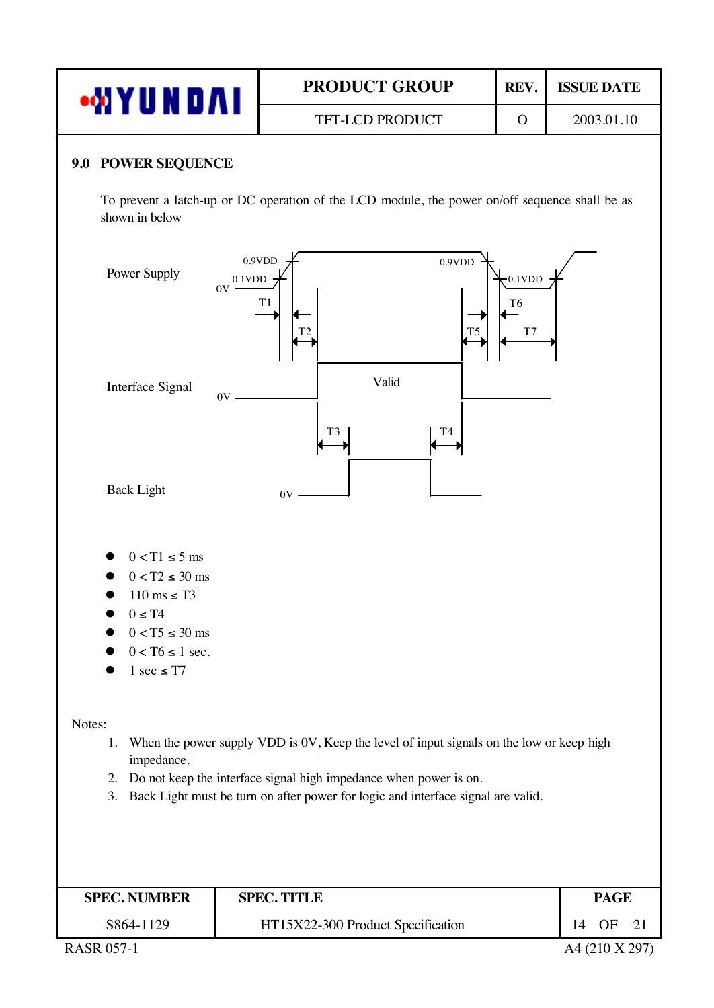| Ц<br><b>NDAI</b> | <b>PRODUCT GROUP</b>   | REV. | <b>ISSUE DATE</b> |
|------------------|------------------------|------|-------------------|
|                  | <b>TFT-LCD PRODUCT</b> |      | 2003.01.10        |

### **9.0 POWER SEQUENCE**

To prevent a latch-up or DC operation of the LCD module, the power on/off sequence shall be as shown in below



| <b>SPEC. NUMBER</b> | <b>SPEC. TITLE</b>                |    | <b>PAGE</b> |  |
|---------------------|-----------------------------------|----|-------------|--|
| S864-1129           | HT15X22-300 Product Specification | 14 | OF          |  |

RASR 057-1 A4 (210 X 297)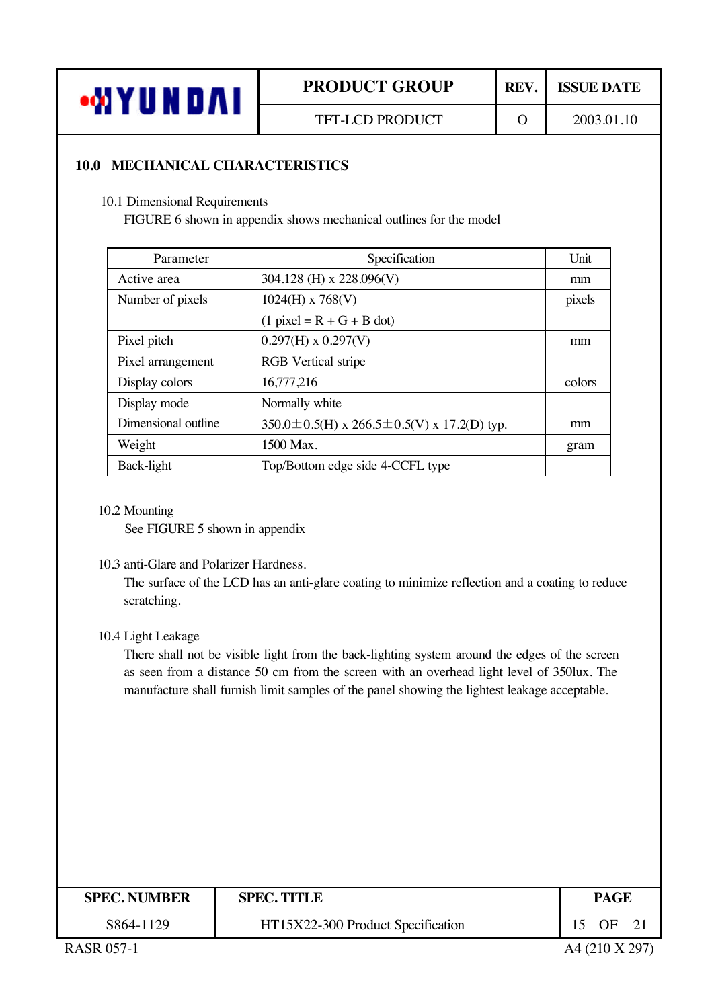

## **10.0 MECHANICAL CHARACTERISTICS**

10.1 Dimensional Requirements

FIGURE 6 shown in appendix shows mechanical outlines for the model

| Parameter           | Specification                                  | Unit   |
|---------------------|------------------------------------------------|--------|
| Active area         | 304.128 (H) x 228.096(V)                       | mm     |
| Number of pixels    | $1024(H)$ x 768(V)                             | pixels |
|                     | $(1$ pixel = R + G + B dot)                    |        |
| Pixel pitch         | $0.297(H)$ x $0.297(V)$                        | mm     |
| Pixel arrangement   | <b>RGB</b> Vertical stripe                     |        |
| Display colors      | 16,777,216                                     | colors |
| Display mode        | Normally white                                 |        |
| Dimensional outline | 350.0 ± 0.5(H) x 266.5 ± 0.5(V) x 17.2(D) typ. | mm     |
| Weight              | 1500 Max.                                      | gram   |
| Back-light          | Top/Bottom edge side 4-CCFL type               |        |

#### 10.2 Mounting

See FIGURE 5 shown in appendix

### 10.3 anti-Glare and Polarizer Hardness.

The surface of the LCD has an anti-glare coating to minimize reflection and a coating to reduce scratching.

### 10.4 Light Leakage

There shall not be visible light from the back-lighting system around the edges of the screen as seen from a distance 50 cm from the screen with an overhead light level of 350lux. The manufacture shall furnish limit samples of the panel showing the lightest leakage acceptable.

| <b>SPEC. NUMBER</b> | <b>SPEC. TITLE</b>                | <b>PAGE</b> |
|---------------------|-----------------------------------|-------------|
| S864-1129           | HT15X22-300 Product Specification | $\Omega$ F  |
|                     |                                   |             |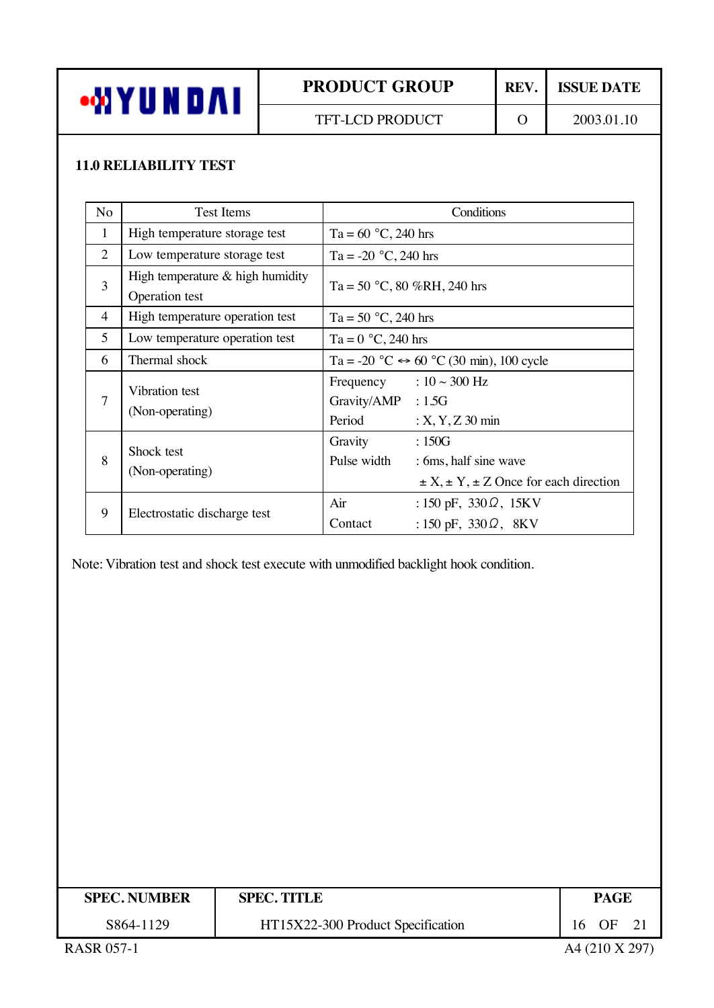

## **11.0 RELIABILITY TEST**

| N <sub>o</sub> | <b>Test Items</b>                                    | Conditions                                                                                                      |
|----------------|------------------------------------------------------|-----------------------------------------------------------------------------------------------------------------|
| $\mathbf{1}$   | High temperature storage test                        | Ta = $60 °C$ , 240 hrs                                                                                          |
| 2              | Low temperature storage test                         | Ta = -20 $^{\circ}$ C, 240 hrs                                                                                  |
| 3              | High temperature $&$ high humidity<br>Operation test | Ta = 50 °C, 80 %RH, 240 hrs                                                                                     |
| 4              | High temperature operation test                      | Ta = 50 $^{\circ}$ C, 240 hrs                                                                                   |
| 5              | Low temperature operation test                       | Ta = $0 °C$ , 240 hrs                                                                                           |
| 6              | Thermal shock                                        | Ta = -20 $^{\circ}$ C $\leftrightarrow$ 60 $^{\circ}$ C (30 min), 100 cycle                                     |
| $\overline{7}$ | Vibration test<br>(Non-operating)                    | Frequency : $10 \sim 300$ Hz<br>Gravity/AMP : 1.5G<br>Period<br>$: X, Y, Z, 30$ min                             |
| 8              | Shock test<br>(Non-operating)                        | :150G<br>Gravity<br>Pulse width<br>: 6ms, half sine wave<br>$\pm X$ , $\pm Y$ , $\pm Z$ Once for each direction |
| 9              | Electrostatic discharge test                         | Air<br>: 150 pF, $330 \Omega$ , 15KV<br>: 150 pF, $330 \Omega$ , 8KV<br>Contact                                 |

Note: Vibration test and shock test execute with unmodified backlight hook condition.

| <b>SPEC. NUMBER</b> | <b>SPEC. TITLE</b>                | PAGE               |
|---------------------|-----------------------------------|--------------------|
| S864-1129           | HT15X22-300 Product Specification | 16 OF<br>$\sim$ 21 |
| <b>RASR 057-1</b>   |                                   | A4 (210 X 297)     |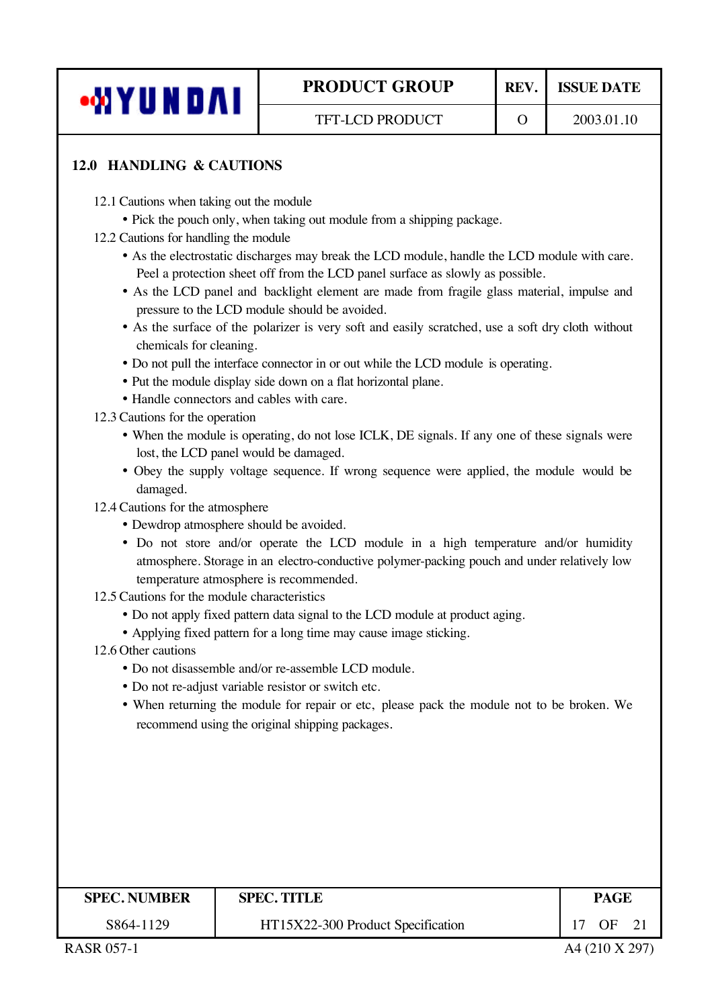

## **12.0 HANDLING & CAUTIONS**

- 12.1 Cautions when taking out the module
	- Pick the pouch only, when taking out module from a shipping package.
- 12.2 Cautions for handling the module
	- ü As the electrostatic discharges may break the LCD module, handle the LCD module with care. Peel a protection sheet off from the LCD panel surface as slowly as possible.
	- As the LCD panel and backlight element are made from fragile glass material, impulse and pressure to the LCD module should be avoided.
	- As the surface of the polarizer is very soft and easily scratched, use a soft dry cloth without chemicals for cleaning.
	- ü Do not pull the interface connector in or out while the LCD module is operating.
	- Put the module display side down on a flat horizontal plane.
	- ü Handle connectors and cables with care.
- 12.3 Cautions for the operation
	- ü When the module is operating, do not lose ICLK, DE signals. If any one of these signals were lost, the LCD panel would be damaged.
	- ü Obey the supply voltage sequence. If wrong sequence were applied, the module would be damaged.

12.4 Cautions for the atmosphere

- ü Dewdrop atmosphere should be avoided.
- ü Do not store and/or operate the LCD module in a high temperature and/or humidity atmosphere. Storage in an electro-conductive polymer-packing pouch and under relatively low temperature atmosphere is recommended.
- 12.5 Cautions for the module characteristics
	- Do not apply fixed pattern data signal to the LCD module at product aging.
	- Applying fixed pattern for a long time may cause image sticking.
- 12.6 Other cautions
	- Do not disassemble and/or re-assemble LCD module.
	- ü Do not re-adjust variable resistor or switch etc.
	- ü When returning the module for repair or etc, please pack the module not to be broken. We recommend using the original shipping packages.

| <b>SPEC. NUMBER</b> | <b>SPEC. TITLE</b>                | PAGE |
|---------------------|-----------------------------------|------|
| S864-1129           | HT15X22-300 Product Specification | ΩE   |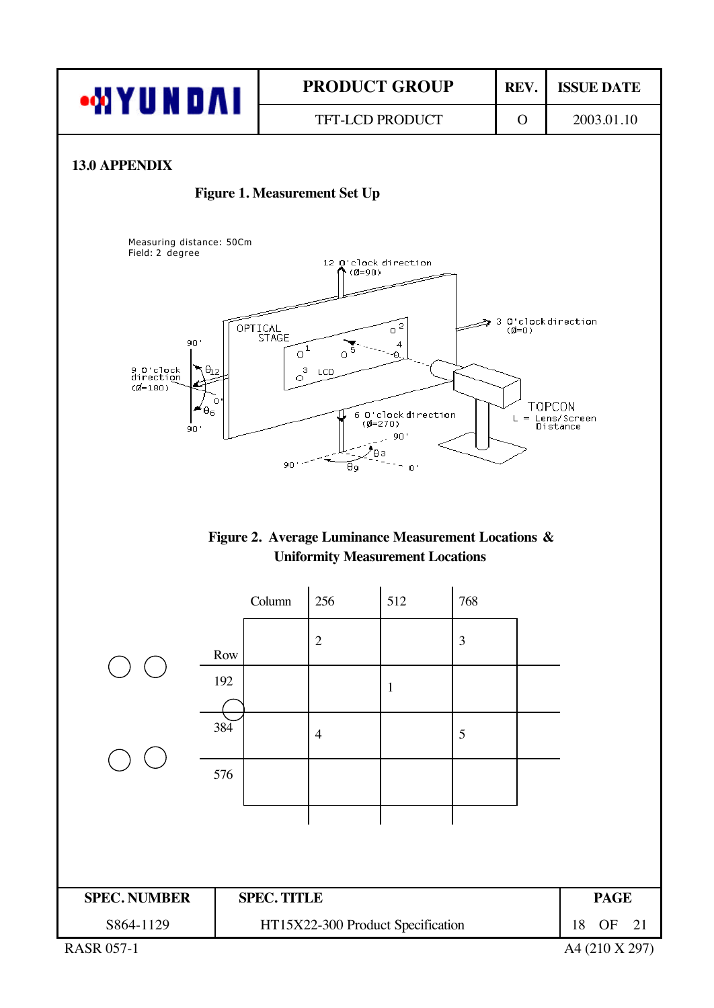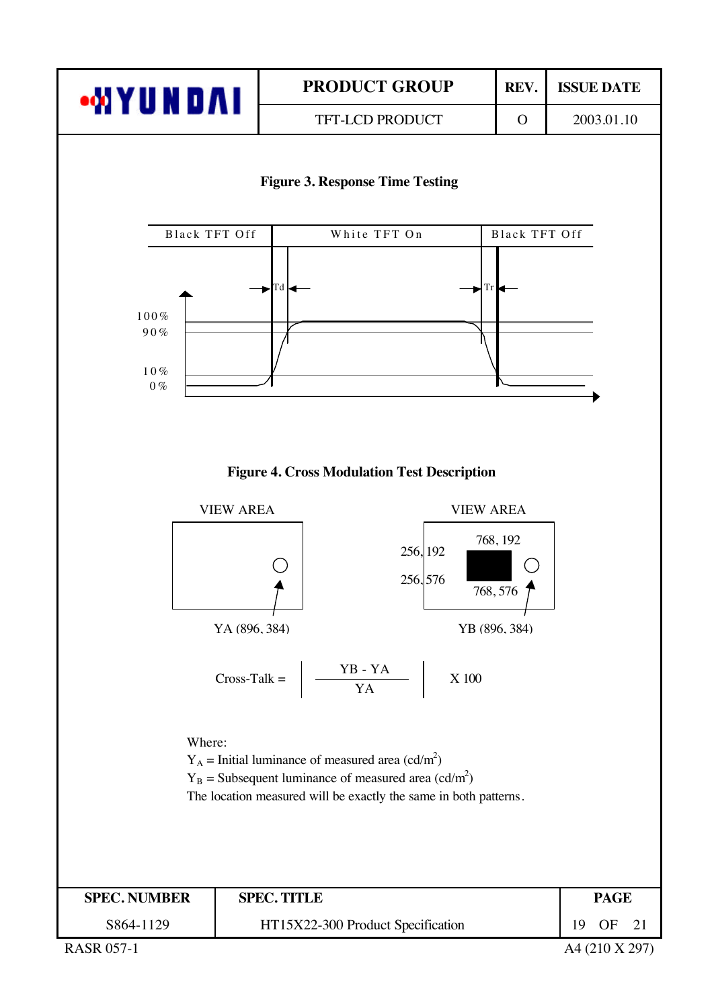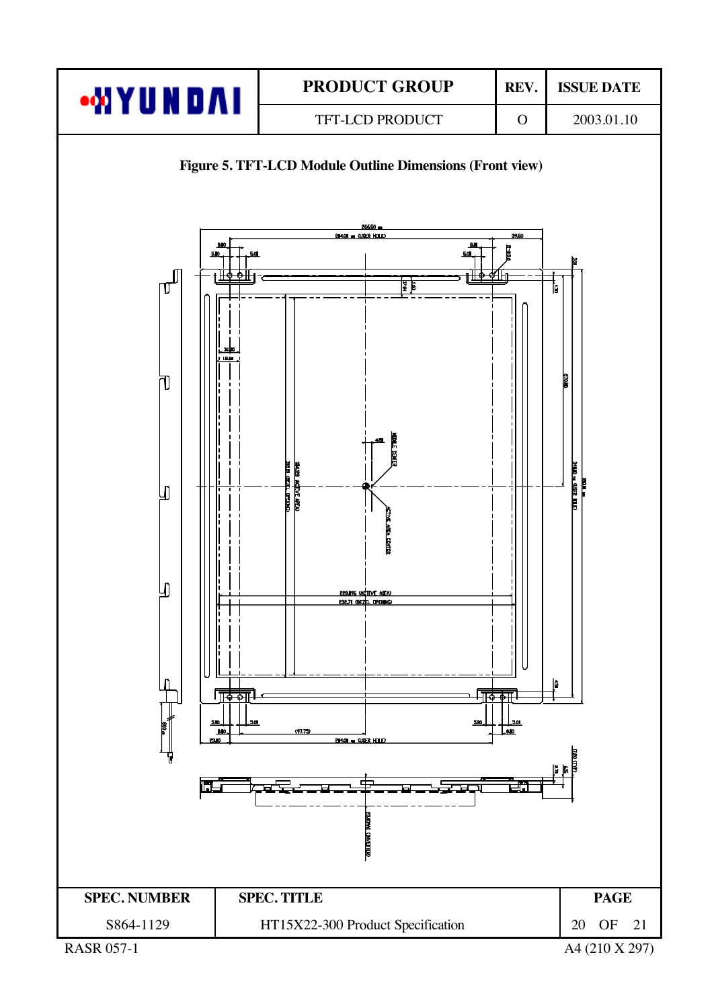